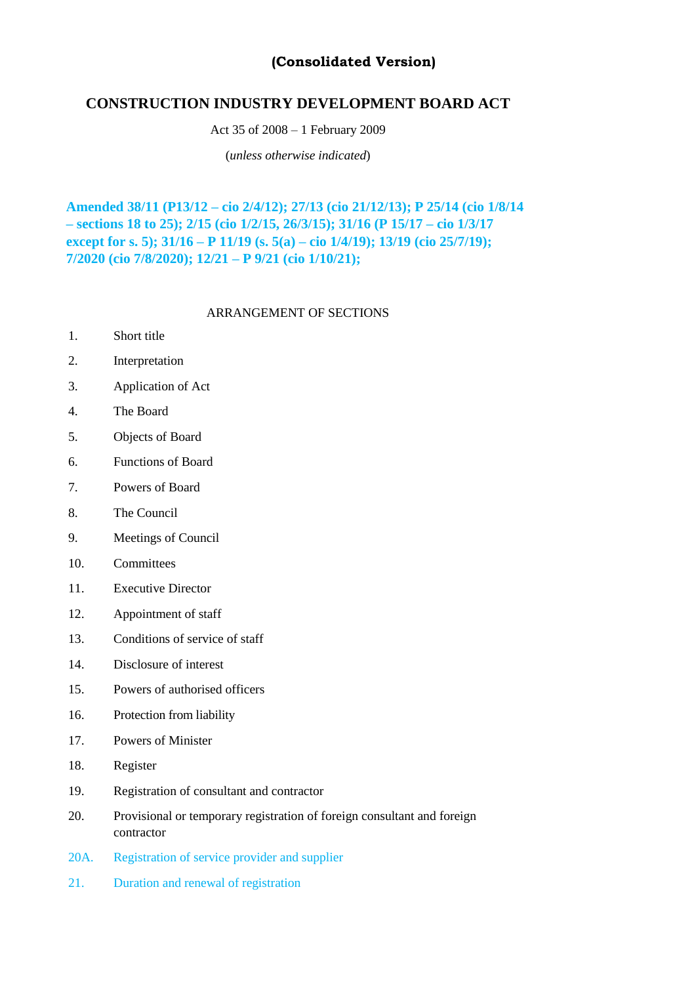# **(Consolidated Version)**

# **CONSTRUCTION INDUSTRY DEVELOPMENT BOARD ACT**

Act 35 of 2008 – 1 February 2009

(*unless otherwise indicated*)

**Amended 38/11 (P13/12 – cio 2/4/12); 27/13 (cio 21/12/13); P 25/14 (cio 1/8/14 – sections 18 to 25); 2/15 (cio 1/2/15, 26/3/15); 31/16 (P 15/17 – cio 1/3/17 except for s. 5); 31/16 – P 11/19 (s. 5(a) – cio 1/4/19); 13/19 (cio 25/7/19); 7/2020 (cio 7/8/2020); 12/21 – P 9/21 (cio 1/10/21);**

# ARRANGEMENT OF SECTIONS

- 1. Short title
- 2. Interpretation
- 3. Application of Act
- 4. The Board
- 5. Objects of Board
- 6. Functions of Board
- 7. Powers of Board
- 8. The Council
- 9. Meetings of Council
- 10. Committees
- 11. Executive Director
- 12. Appointment of staff
- 13. Conditions of service of staff
- 14. Disclosure of interest
- 15. Powers of authorised officers
- 16. Protection from liability
- 17. Powers of Minister
- 18. Register
- 19. Registration of consultant and contractor
- 20. Provisional or temporary registration of foreign consultant and foreign contractor
- 20A. Registration of service provider and supplier
- 21. Duration and renewal of registration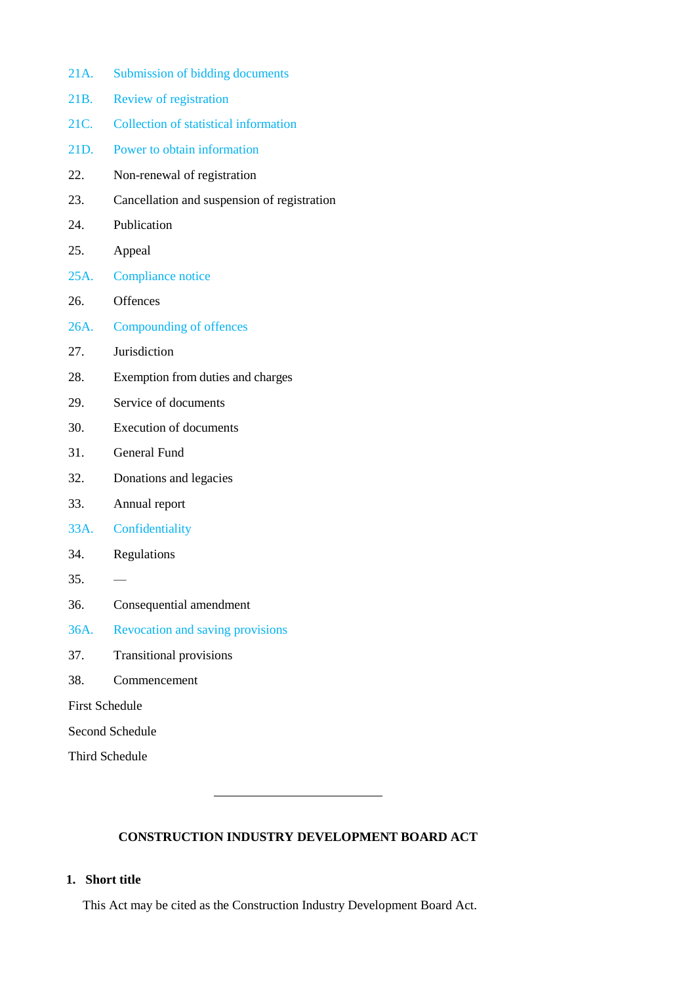- 21A. Submission of bidding documents
- 21B. Review of registration
- 21C. Collection of statistical information
- 21D. Power to obtain information
- 22. Non-renewal of registration
- 23. Cancellation and suspension of registration
- 24. Publication
- 25. Appeal
- 25A. Compliance notice
- 26. Offences
- 26A. Compounding of offences
- 27. Jurisdiction
- 28. Exemption from duties and charges
- 29. Service of documents
- 30. Execution of documents
- 31. General Fund
- 32. Donations and legacies
- 33. Annual report
- 33A. Confidentiality
- 34. Regulations
- $35. -$
- 36. Consequential amendment
- 36A. Revocation and saving provisions
- 37. Transitional provisions
- 38. Commencement

First Schedule

Second Schedule

Third Schedule

# **CONSTRUCTION INDUSTRY DEVELOPMENT BOARD ACT**

# **1. Short title**

This Act may be cited as the Construction Industry Development Board Act.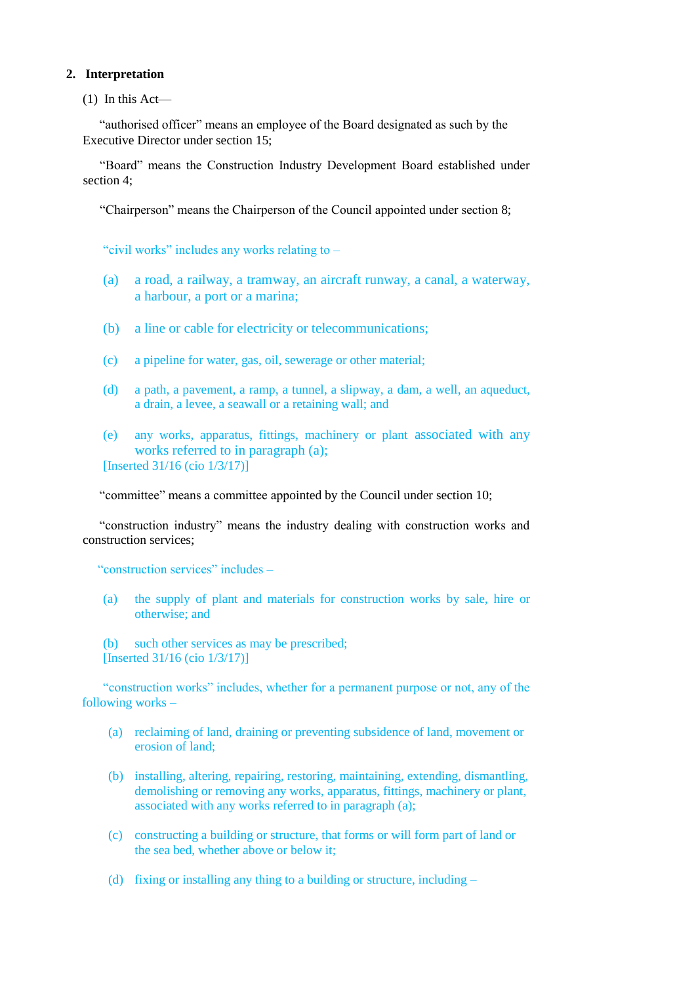# **2. Interpretation**

(1) In this Act—

"authorised officer" means an employee of the Board designated as such by the Executive Director under section 15;

"Board" means the Construction Industry Development Board established under section 4;

"Chairperson" means the Chairperson of the Council appointed under section 8;

"civil works" includes any works relating to –

- (a) a road, a railway, a tramway, an aircraft runway, a canal, a waterway, a harbour, a port or a marina;
- (b) a line or cable for electricity or telecommunications;
- (c) a pipeline for water, gas, oil, sewerage or other material;
- (d) a path, a pavement, a ramp, a tunnel, a slipway, a dam, a well, an aqueduct, a drain, a levee, a seawall or a retaining wall; and
- (e) any works, apparatus, fittings, machinery or plant associated with any works referred to in paragraph (a); [Inserted 31/16 (cio 1/3/17)]

"committee" means a committee appointed by the Council under section 10;

"construction industry" means the industry dealing with construction works and construction services;

"construction services" includes –

(a) the supply of plant and materials for construction works by sale, hire or otherwise; and

(b) such other services as may be prescribed; [Inserted 31/16 (cio 1/3/17)]

"construction works" includes, whether for a permanent purpose or not, any of the following works –

- (a) reclaiming of land, draining or preventing subsidence of land, movement or erosion of land;
- (b) installing, altering, repairing, restoring, maintaining, extending, dismantling, demolishing or removing any works, apparatus, fittings, machinery or plant, associated with any works referred to in paragraph (a);
- (c) constructing a building or structure, that forms or will form part of land or the sea bed, whether above or below it;
- (d) fixing or installing any thing to a building or structure, including –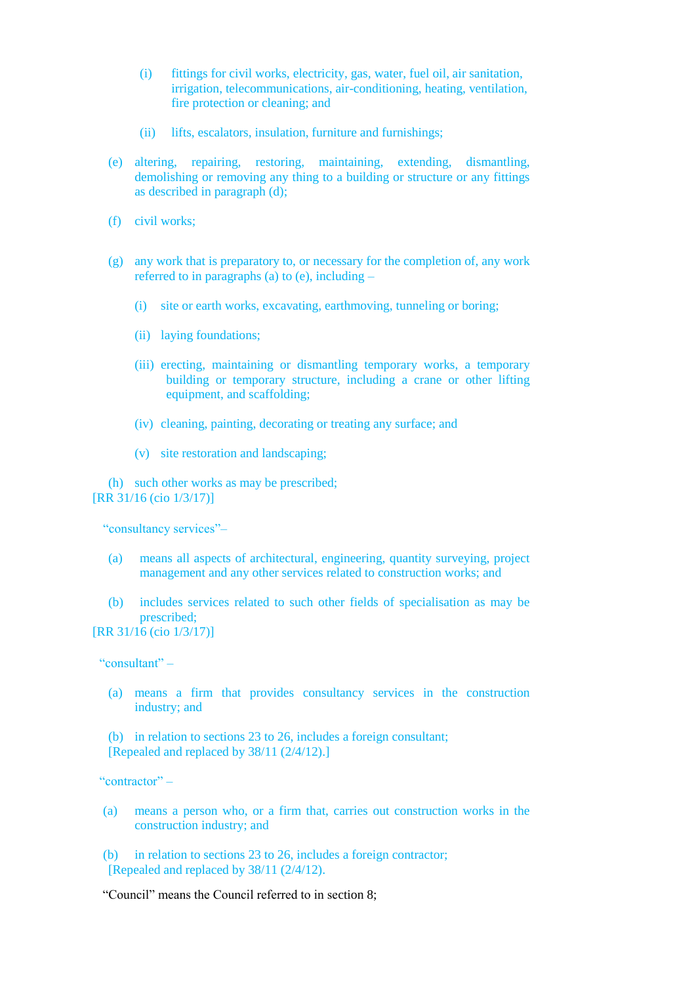- (i) fittings for civil works, electricity, gas, water, fuel oil, air sanitation, irrigation, telecommunications, air-conditioning, heating, ventilation, fire protection or cleaning; and
- (ii) lifts, escalators, insulation, furniture and furnishings;
- (e) altering, repairing, restoring, maintaining, extending, dismantling, demolishing or removing any thing to a building or structure or any fittings as described in paragraph (d);
- (f) civil works;
- (g) any work that is preparatory to, or necessary for the completion of, any work referred to in paragraphs (a) to (e), including  $-$ 
	- (i) site or earth works, excavating, earthmoving, tunneling or boring;
	- (ii) laying foundations;
	- (iii) erecting, maintaining or dismantling temporary works, a temporary building or temporary structure, including a crane or other lifting equipment, and scaffolding;
	- (iv) cleaning, painting, decorating or treating any surface; and
	- (v) site restoration and landscaping;

(h) such other works as may be prescribed; [RR 31/16 (cio 1/3/17)]

"consultancy services"–

- (a) means all aspects of architectural, engineering, quantity surveying, project management and any other services related to construction works; and
- (b) includes services related to such other fields of specialisation as may be prescribed;

[RR 31/16 (cio 1/3/17)]

"consultant" –

(a) means a firm that provides consultancy services in the construction industry; and

(b) in relation to sections 23 to 26, includes a foreign consultant; [Repealed and replaced by 38/11 (2/4/12).]

"contractor" –

(a) means a person who, or a firm that, carries out construction works in the construction industry; and

(b) in relation to sections 23 to 26, includes a foreign contractor; [Repealed and replaced by 38/11 (2/4/12).

"Council" means the Council referred to in section 8;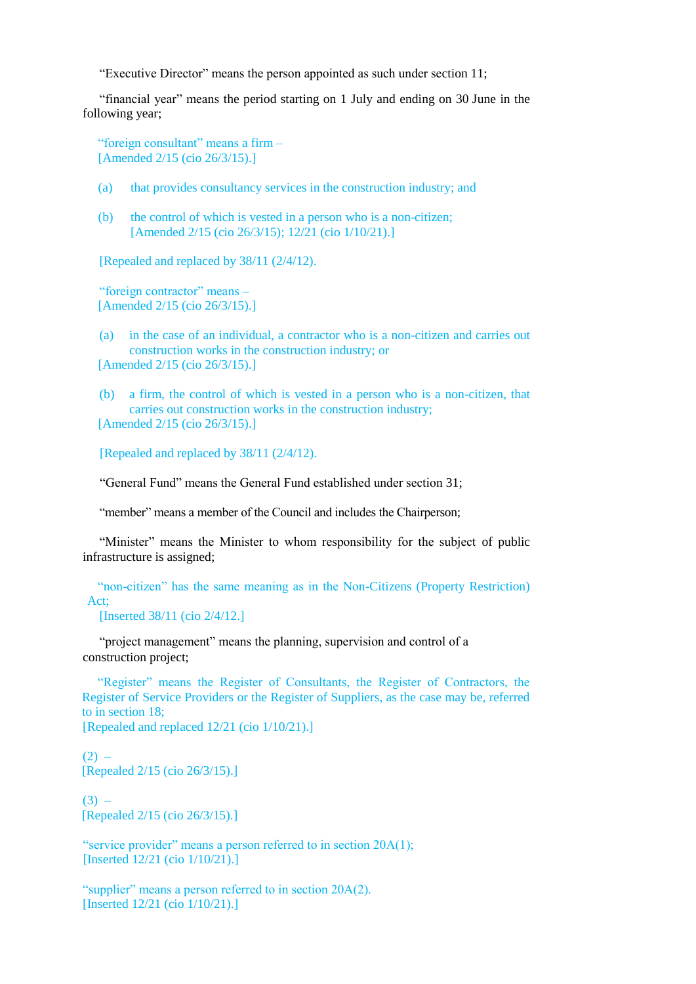"Executive Director" means the person appointed as such under section 11;

"financial year" means the period starting on 1 July and ending on 30 June in the following year;

"foreign consultant" means a firm – [Amended 2/15 (cio 26/3/15).]

- (a) that provides consultancy services in the construction industry; and
- (b) the control of which is vested in a person who is a non-citizen; [Amended 2/15 (cio 26/3/15); 12/21 (cio 1/10/21).]

[Repealed and replaced by 38/11 (2/4/12).

"foreign contractor" means – [Amended 2/15 (cio 26/3/15).]

(a) in the case of an individual, a contractor who is a non-citizen and carries out construction works in the construction industry; or [Amended 2/15 (cio 26/3/15).]

(b) a firm, the control of which is vested in a person who is a non-citizen, that carries out construction works in the construction industry; [Amended 2/15 (cio 26/3/15).]

[Repealed and replaced by 38/11 (2/4/12).

"General Fund" means the General Fund established under section 31;

"member" means a member of the Council and includes the Chairperson;

"Minister" means the Minister to whom responsibility for the subject of public infrastructure is assigned;

"non-citizen" has the same meaning as in the Non-Citizens (Property Restriction) Act;

[Inserted 38/11 (cio 2/4/12.]

"project management" means the planning, supervision and control of a construction project;

"Register" means the Register of Consultants, the Register of Contractors, the Register of Service Providers or the Register of Suppliers, as the case may be, referred to in section 18;

[Repealed and replaced 12/21 (cio 1/10/21).]

 $(2)$  – [Repealed 2/15 (cio 26/3/15).]

 $(3) -$ [Repealed 2/15 (cio 26/3/15).]

"service provider" means a person referred to in section 20A(1); [Inserted 12/21 (cio 1/10/21).]

"supplier" means a person referred to in section 20A(2). [Inserted 12/21 (cio 1/10/21).]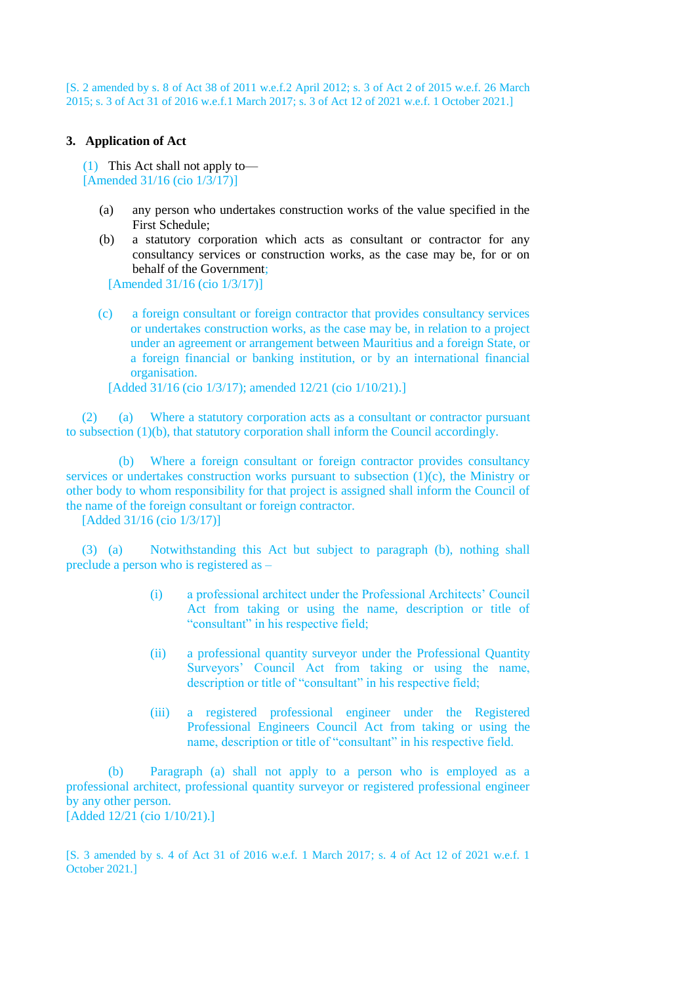[S. 2 amended by s. 8 of Act 38 of 2011 w.e.f.2 April 2012; s. 3 of Act 2 of 2015 w.e.f. 26 March 2015; s. 3 of Act 31 of 2016 w.e.f.1 March 2017; s. 3 of Act 12 of 2021 w.e.f. 1 October 2021.]

# **3. Application of Act**

(1) This Act shall not apply to— [Amended 31/16 (cio 1/3/17)]

- (a) any person who undertakes construction works of the value specified in the First Schedule;
- (b) a statutory corporation which acts as consultant or contractor for any consultancy services or construction works, as the case may be, for or on behalf of the Government;

[Amended 31/16 (cio 1/3/17)]

(c) a foreign consultant or foreign contractor that provides consultancy services or undertakes construction works, as the case may be, in relation to a project under an agreement or arrangement between Mauritius and a foreign State, or a foreign financial or banking institution, or by an international financial organisation.

[Added 31/16 (cio 1/3/17); amended 12/21 (cio 1/10/21).]

(2) (a) Where a statutory corporation acts as a consultant or contractor pursuant to subsection (1)(b), that statutory corporation shall inform the Council accordingly.

(b) Where a foreign consultant or foreign contractor provides consultancy services or undertakes construction works pursuant to subsection  $(1)(c)$ , the Ministry or other body to whom responsibility for that project is assigned shall inform the Council of the name of the foreign consultant or foreign contractor.

[Added 31/16 (cio 1/3/17)]

(3) (a) Notwithstanding this Act but subject to paragraph (b), nothing shall preclude a person who is registered as –

- (i) a professional architect under the Professional Architects' Council Act from taking or using the name, description or title of "consultant" in his respective field;
- (ii) a professional quantity surveyor under the Professional Quantity Surveyors' Council Act from taking or using the name, description or title of "consultant" in his respective field;
- (iii) a registered professional engineer under the Registered Professional Engineers Council Act from taking or using the name, description or title of "consultant" in his respective field.

(b) Paragraph (a) shall not apply to a person who is employed as a professional architect, professional quantity surveyor or registered professional engineer by any other person. [Added 12/21 (cio 1/10/21).]

[S. 3 amended by s. 4 of Act 31 of 2016 w.e.f. 1 March 2017; s. 4 of Act 12 of 2021 w.e.f. 1 October 2021.]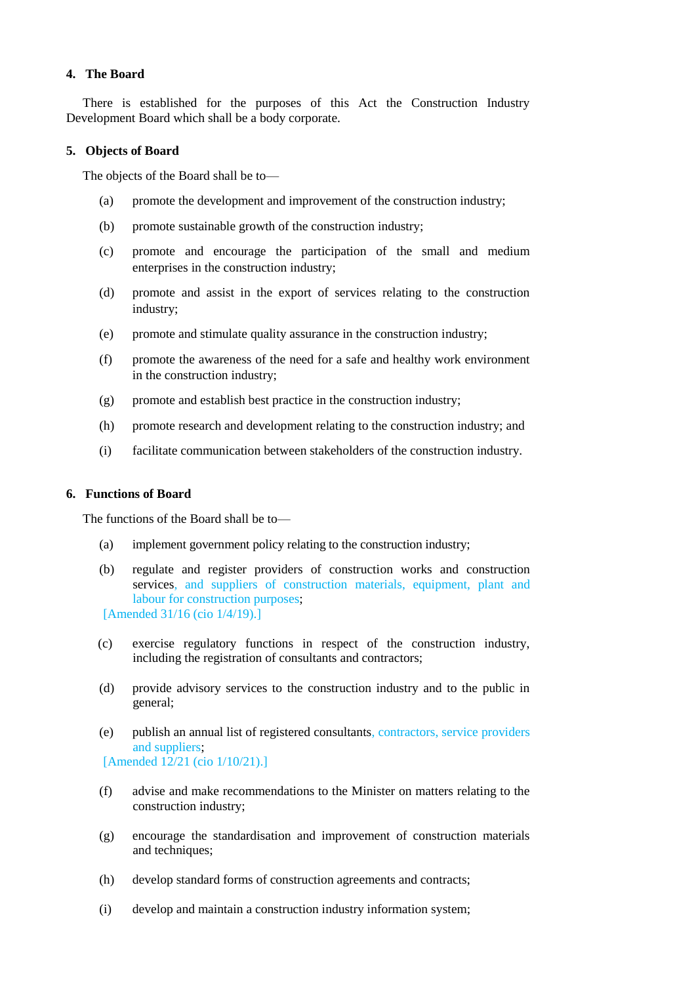## **4. The Board**

There is established for the purposes of this Act the Construction Industry Development Board which shall be a body corporate.

### **5. Objects of Board**

The objects of the Board shall be to—

- (a) promote the development and improvement of the construction industry;
- (b) promote sustainable growth of the construction industry;
- (c) promote and encourage the participation of the small and medium enterprises in the construction industry;
- (d) promote and assist in the export of services relating to the construction industry;
- (e) promote and stimulate quality assurance in the construction industry;
- (f) promote the awareness of the need for a safe and healthy work environment in the construction industry;
- (g) promote and establish best practice in the construction industry;
- (h) promote research and development relating to the construction industry; and
- (i) facilitate communication between stakeholders of the construction industry.

# **6. Functions of Board**

The functions of the Board shall be to—

- (a) implement government policy relating to the construction industry;
- (b) regulate and register providers of construction works and construction services, and suppliers of construction materials, equipment, plant and labour for construction purposes; [Amended 31/16 (cio 1/4/19).]
- (c) exercise regulatory functions in respect of the construction industry, including the registration of consultants and contractors;
- (d) provide advisory services to the construction industry and to the public in general;
- (e) publish an annual list of registered consultants, contractors, service providers and suppliers; [Amended 12/21 (cio 1/10/21).]
- (f) advise and make recommendations to the Minister on matters relating to the construction industry;
- (g) encourage the standardisation and improvement of construction materials and techniques:
- (h) develop standard forms of construction agreements and contracts;
- (i) develop and maintain a construction industry information system;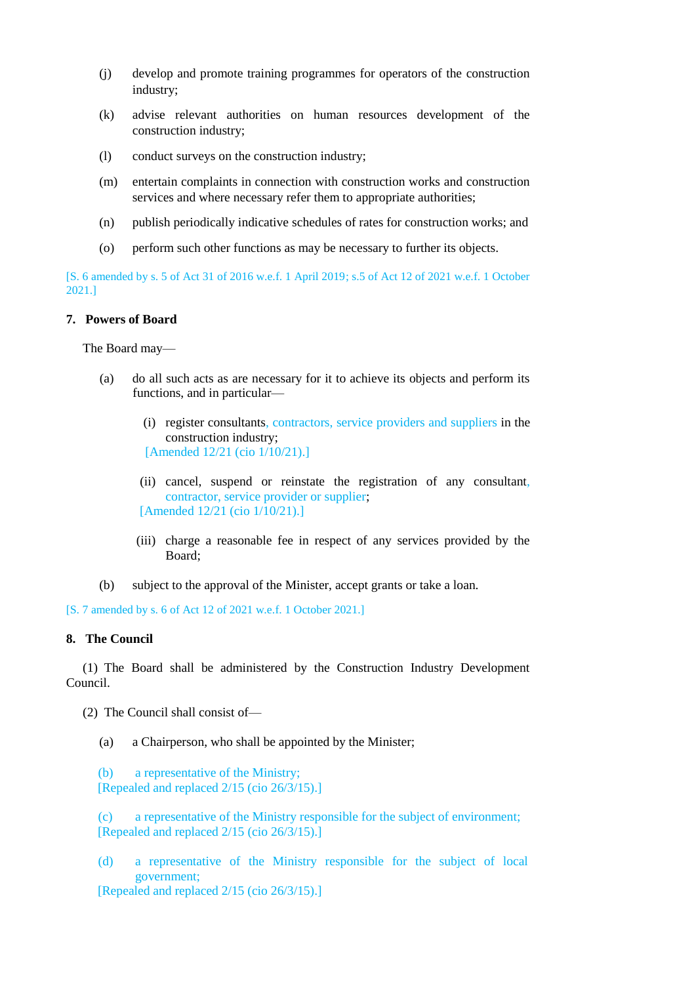- (j) develop and promote training programmes for operators of the construction industry;
- (k) advise relevant authorities on human resources development of the construction industry;
- (l) conduct surveys on the construction industry;
- (m) entertain complaints in connection with construction works and construction services and where necessary refer them to appropriate authorities;
- (n) publish periodically indicative schedules of rates for construction works; and
- (o) perform such other functions as may be necessary to further its objects.

[S. 6 amended by s. 5 of Act 31 of 2016 w.e.f. 1 April 2019; s.5 of Act 12 of 2021 w.e.f. 1 October 2021.]

# **7. Powers of Board**

The Board may—

- (a) do all such acts as are necessary for it to achieve its objects and perform its functions, and in particular—
	- (i) register consultants, contractors, service providers and suppliers in the construction industry; [Amended 12/21 (cio 1/10/21).]
	- (ii) cancel, suspend or reinstate the registration of any consultant, contractor, service provider or supplier; [Amended 12/21 (cio 1/10/21).]
	- (iii) charge a reasonable fee in respect of any services provided by the Board;
- (b) subject to the approval of the Minister, accept grants or take a loan.

[S. 7 amended by s. 6 of Act 12 of 2021 w.e.f. 1 October 2021.]

## **8. The Council**

(1) The Board shall be administered by the Construction Industry Development Council.

(2) The Council shall consist of—

(a) a Chairperson, who shall be appointed by the Minister;

(b) a representative of the Ministry; [Repealed and replaced  $2/15$  (cio  $26/3/15$ ).]

(c) a representative of the Ministry responsible for the subject of environment; [Repealed and replaced  $2/15$  (cio  $26/3/15$ ).]

(d) a representative of the Ministry responsible for the subject of local government;

[Repealed and replaced 2/15 (cio 26/3/15).]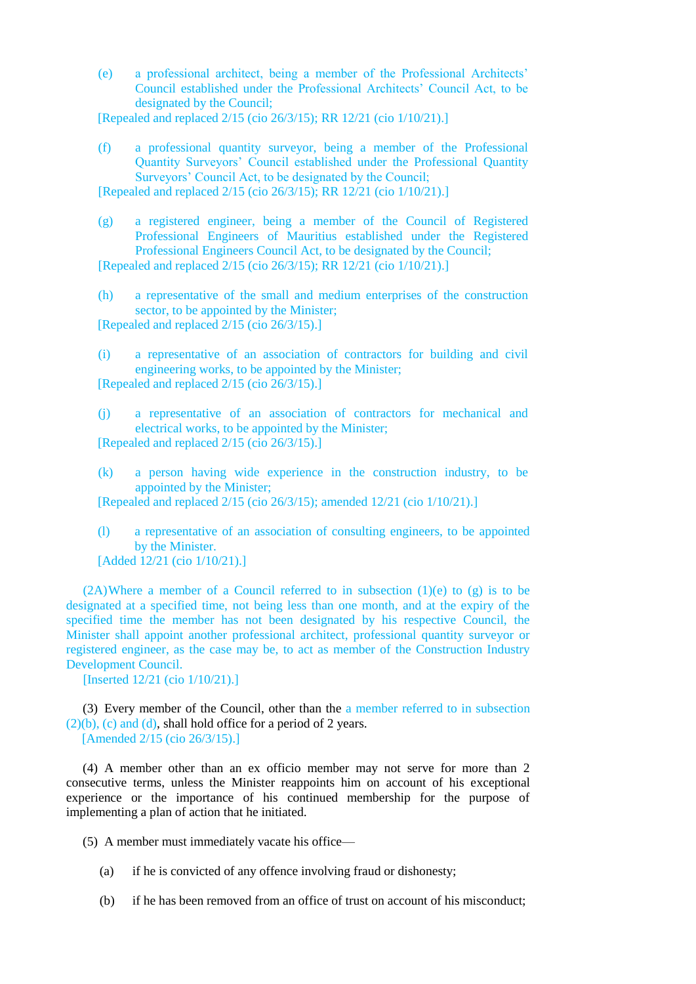(e) a professional architect, being a member of the Professional Architects' Council established under the Professional Architects' Council Act, to be designated by the Council;

[Repealed and replaced 2/15 (cio 26/3/15); RR 12/21 (cio 1/10/21).]

(f) a professional quantity surveyor, being a member of the Professional Quantity Surveyors' Council established under the Professional Quantity Surveyors' Council Act, to be designated by the Council;

[Repealed and replaced 2/15 (cio 26/3/15); RR 12/21 (cio 1/10/21).]

(g) a registered engineer, being a member of the Council of Registered Professional Engineers of Mauritius established under the Registered Professional Engineers Council Act, to be designated by the Council; [Repealed and replaced 2/15 (cio 26/3/15); RR 12/21 (cio 1/10/21).]

(h) a representative of the small and medium enterprises of the construction sector, to be appointed by the Minister; [Repealed and replaced 2/15 (cio 26/3/15).]

(i) a representative of an association of contractors for building and civil engineering works, to be appointed by the Minister; [Repealed and replaced 2/15 (cio 26/3/15).]

(j) a representative of an association of contractors for mechanical and electrical works, to be appointed by the Minister; [Repealed and replaced 2/15 (cio 26/3/15).]

(k) a person having wide experience in the construction industry, to be appointed by the Minister;

[Repealed and replaced 2/15 (cio 26/3/15); amended 12/21 (cio 1/10/21).]

(l) a representative of an association of consulting engineers, to be appointed by the Minister. [Added 12/21 (cio 1/10/21).]

 $(2)$ Where a member of a Council referred to in subsection  $(1)(e)$  to  $(g)$  is to be designated at a specified time, not being less than one month, and at the expiry of the specified time the member has not been designated by his respective Council, the Minister shall appoint another professional architect, professional quantity surveyor or registered engineer, as the case may be, to act as member of the Construction Industry Development Council.

[Inserted 12/21 (cio 1/10/21).]

(3) Every member of the Council, other than the a member referred to in subsection  $(2)(b)$ , (c) and (d), shall hold office for a period of 2 years. [Amended 2/15 (cio 26/3/15).]

(4) A member other than an ex officio member may not serve for more than 2 consecutive terms, unless the Minister reappoints him on account of his exceptional experience or the importance of his continued membership for the purpose of implementing a plan of action that he initiated.

(5) A member must immediately vacate his office—

- (a) if he is convicted of any offence involving fraud or dishonesty;
- (b) if he has been removed from an office of trust on account of his misconduct;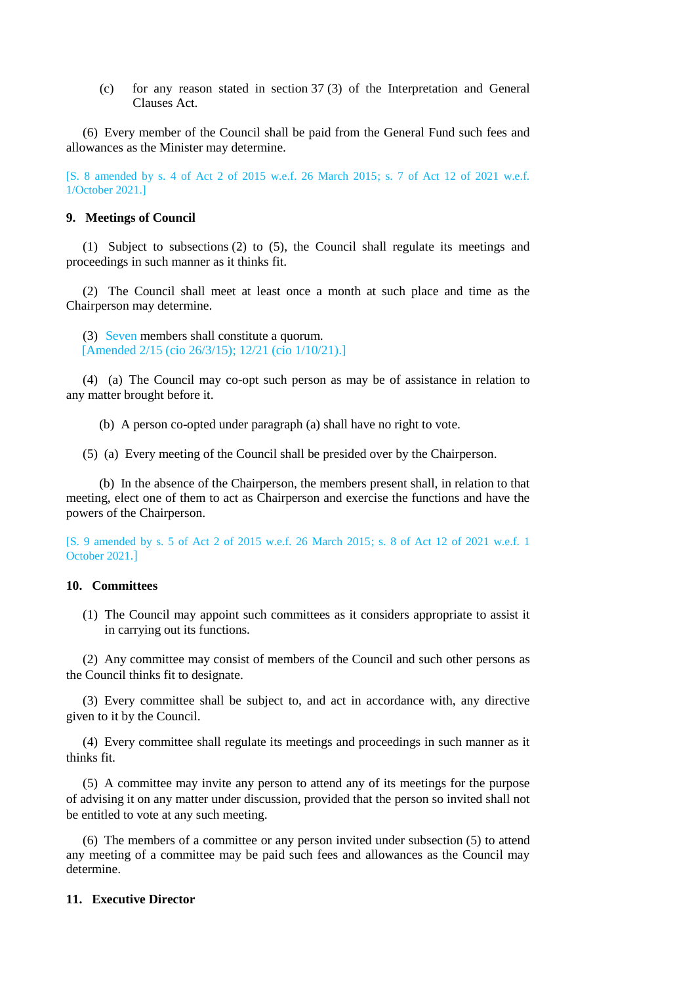(c) for any reason stated in section 37 (3) of the Interpretation and General Clauses Act.

(6) Every member of the Council shall be paid from the General Fund such fees and allowances as the Minister may determine.

[S. 8 amended by s. 4 of Act 2 of 2015 w.e.f. 26 March 2015; s. 7 of Act 12 of 2021 w.e.f. 1/October 2021.]

### **9. Meetings of Council**

(1) Subject to subsections (2) to (5), the Council shall regulate its meetings and proceedings in such manner as it thinks fit.

(2) The Council shall meet at least once a month at such place and time as the Chairperson may determine.

(3) Seven members shall constitute a quorum. [Amended 2/15 (cio 26/3/15); 12/21 (cio 1/10/21).]

(4) (a) The Council may co-opt such person as may be of assistance in relation to any matter brought before it.

(b) A person co-opted under paragraph (a) shall have no right to vote.

(5) (a) Every meeting of the Council shall be presided over by the Chairperson.

(b) In the absence of the Chairperson, the members present shall, in relation to that meeting, elect one of them to act as Chairperson and exercise the functions and have the powers of the Chairperson.

[S. 9 amended by s. 5 of Act 2 of 2015 w.e.f. 26 March 2015; s. 8 of Act 12 of 2021 w.e.f. 1 October 2021.]

## **10. Committees**

(1) The Council may appoint such committees as it considers appropriate to assist it in carrying out its functions.

(2) Any committee may consist of members of the Council and such other persons as the Council thinks fit to designate.

(3) Every committee shall be subject to, and act in accordance with, any directive given to it by the Council.

(4) Every committee shall regulate its meetings and proceedings in such manner as it thinks fit.

(5) A committee may invite any person to attend any of its meetings for the purpose of advising it on any matter under discussion, provided that the person so invited shall not be entitled to vote at any such meeting.

(6) The members of a committee or any person invited under subsection (5) to attend any meeting of a committee may be paid such fees and allowances as the Council may determine.

#### **11. Executive Director**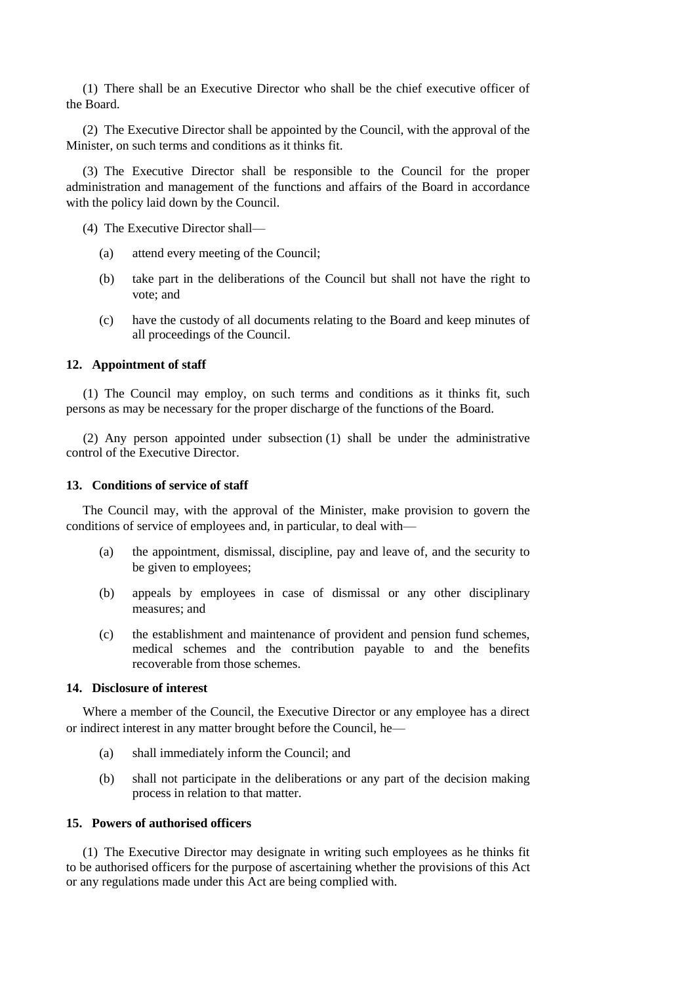(1) There shall be an Executive Director who shall be the chief executive officer of the Board.

(2) The Executive Director shall be appointed by the Council, with the approval of the Minister, on such terms and conditions as it thinks fit.

(3) The Executive Director shall be responsible to the Council for the proper administration and management of the functions and affairs of the Board in accordance with the policy laid down by the Council.

- (4) The Executive Director shall—
	- (a) attend every meeting of the Council;
	- (b) take part in the deliberations of the Council but shall not have the right to vote; and
	- (c) have the custody of all documents relating to the Board and keep minutes of all proceedings of the Council.

### **12. Appointment of staff**

(1) The Council may employ, on such terms and conditions as it thinks fit, such persons as may be necessary for the proper discharge of the functions of the Board.

(2) Any person appointed under subsection (1) shall be under the administrative control of the Executive Director.

### **13. Conditions of service of staff**

The Council may, with the approval of the Minister, make provision to govern the conditions of service of employees and, in particular, to deal with—

- (a) the appointment, dismissal, discipline, pay and leave of, and the security to be given to employees;
- (b) appeals by employees in case of dismissal or any other disciplinary measures; and
- (c) the establishment and maintenance of provident and pension fund schemes, medical schemes and the contribution payable to and the benefits recoverable from those schemes.

### **14. Disclosure of interest**

Where a member of the Council, the Executive Director or any employee has a direct or indirect interest in any matter brought before the Council, he—

- (a) shall immediately inform the Council; and
- (b) shall not participate in the deliberations or any part of the decision making process in relation to that matter.

### **15. Powers of authorised officers**

(1) The Executive Director may designate in writing such employees as he thinks fit to be authorised officers for the purpose of ascertaining whether the provisions of this Act or any regulations made under this Act are being complied with.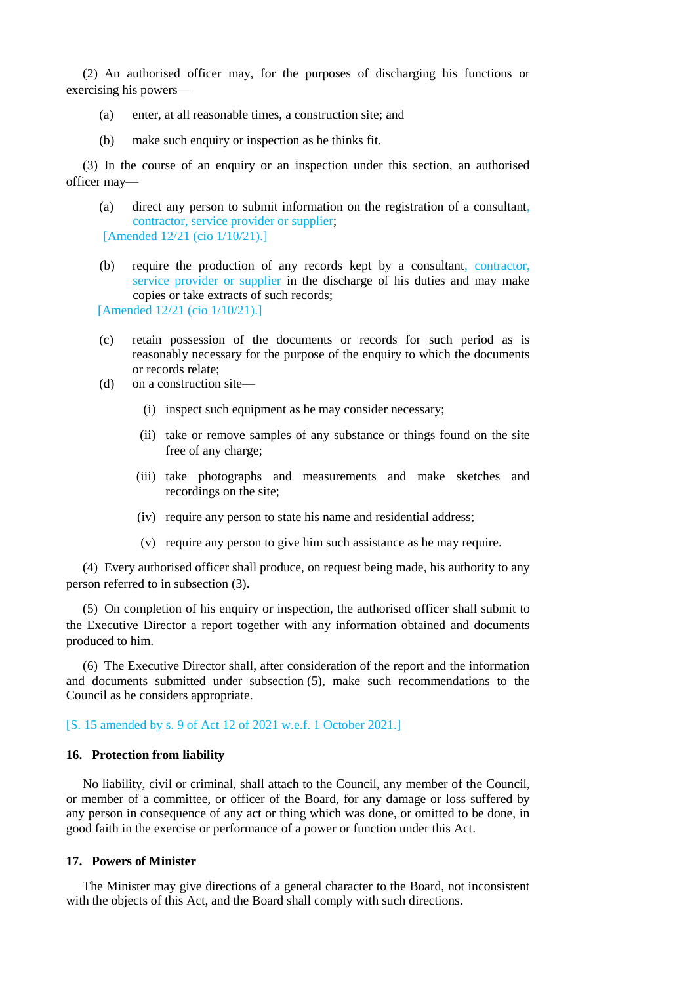(2) An authorised officer may, for the purposes of discharging his functions or exercising his powers—

- (a) enter, at all reasonable times, a construction site; and
- (b) make such enquiry or inspection as he thinks fit.

(3) In the course of an enquiry or an inspection under this section, an authorised officer may—

- (a) direct any person to submit information on the registration of a consultant, contractor, service provider or supplier; [Amended 12/21 (cio 1/10/21).]
- (b) require the production of any records kept by a consultant, contractor, service provider or supplier in the discharge of his duties and may make copies or take extracts of such records;

[Amended 12/21 (cio 1/10/21).]

- (c) retain possession of the documents or records for such period as is reasonably necessary for the purpose of the enquiry to which the documents or records relate;
- (d) on a construction site—
	- (i) inspect such equipment as he may consider necessary;
	- (ii) take or remove samples of any substance or things found on the site free of any charge;
	- (iii) take photographs and measurements and make sketches and recordings on the site;
	- (iv) require any person to state his name and residential address;
	- (v) require any person to give him such assistance as he may require.

(4) Every authorised officer shall produce, on request being made, his authority to any person referred to in subsection (3).

(5) On completion of his enquiry or inspection, the authorised officer shall submit to the Executive Director a report together with any information obtained and documents produced to him.

(6) The Executive Director shall, after consideration of the report and the information and documents submitted under subsection (5), make such recommendations to the Council as he considers appropriate.

### [S. 15 amended by s. 9 of Act 12 of 2021 w.e.f. 1 October 2021.]

#### **16. Protection from liability**

No liability, civil or criminal, shall attach to the Council, any member of the Council, or member of a committee, or officer of the Board, for any damage or loss suffered by any person in consequence of any act or thing which was done, or omitted to be done, in good faith in the exercise or performance of a power or function under this Act.

#### **17. Powers of Minister**

The Minister may give directions of a general character to the Board, not inconsistent with the objects of this Act, and the Board shall comply with such directions.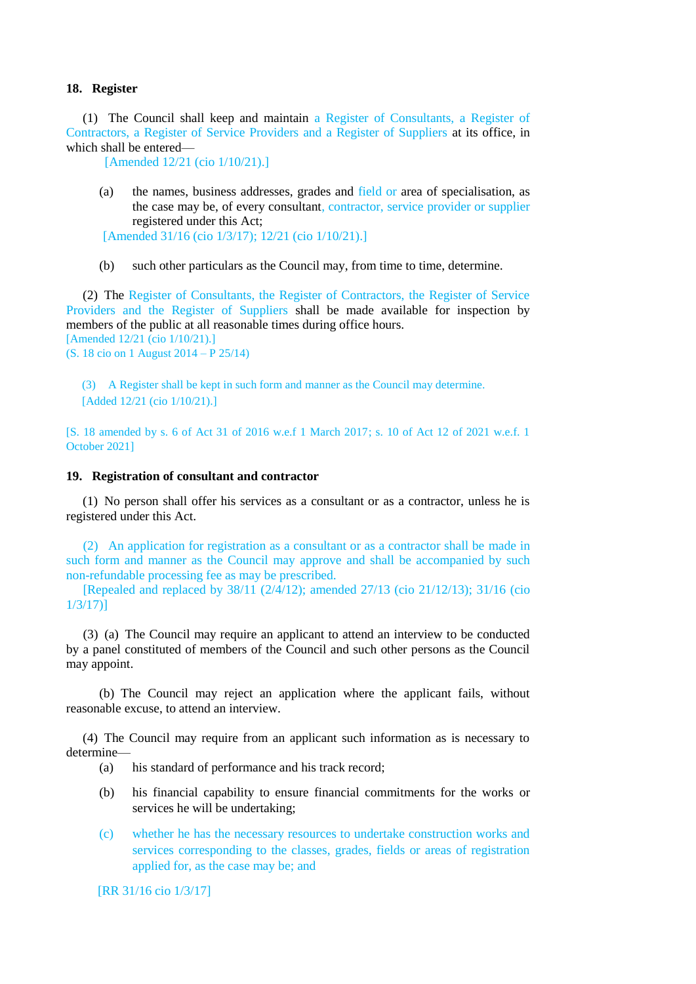#### **18. Register**

(1) The Council shall keep and maintain a Register of Consultants, a Register of Contractors, a Register of Service Providers and a Register of Suppliers at its office, in which shall be entered—

[Amended 12/21 (cio 1/10/21).]

(a) the names, business addresses, grades and field or area of specialisation, as the case may be, of every consultant, contractor, service provider or supplier registered under this Act;

[Amended 31/16 (cio 1/3/17); 12/21 (cio 1/10/21).]

(b) such other particulars as the Council may, from time to time, determine.

(2) The Register of Consultants, the Register of Contractors, the Register of Service Providers and the Register of Suppliers shall be made available for inspection by members of the public at all reasonable times during office hours. [Amended 12/21 (cio 1/10/21).]

(S. 18 cio on 1 August 2014 – P 25/14)

(3) A Register shall be kept in such form and manner as the Council may determine. [Added 12/21 (cio 1/10/21).]

[S. 18 amended by s. 6 of Act 31 of 2016 w.e.f 1 March 2017; s. 10 of Act 12 of 2021 w.e.f. 1 October 2021]

#### **19. Registration of consultant and contractor**

(1) No person shall offer his services as a consultant or as a contractor, unless he is registered under this Act.

(2) An application for registration as a consultant or as a contractor shall be made in such form and manner as the Council may approve and shall be accompanied by such non-refundable processing fee as may be prescribed.

[Repealed and replaced by 38/11 (2/4/12); amended 27/13 (cio 21/12/13); 31/16 (cio 1/3/17)]

(3) (a) The Council may require an applicant to attend an interview to be conducted by a panel constituted of members of the Council and such other persons as the Council may appoint.

(b) The Council may reject an application where the applicant fails, without reasonable excuse, to attend an interview.

(4) The Council may require from an applicant such information as is necessary to determine—

- (a) his standard of performance and his track record;
- (b) his financial capability to ensure financial commitments for the works or services he will be undertaking;
- (c) whether he has the necessary resources to undertake construction works and services corresponding to the classes, grades, fields or areas of registration applied for, as the case may be; and

[RR 31/16 cio 1/3/17]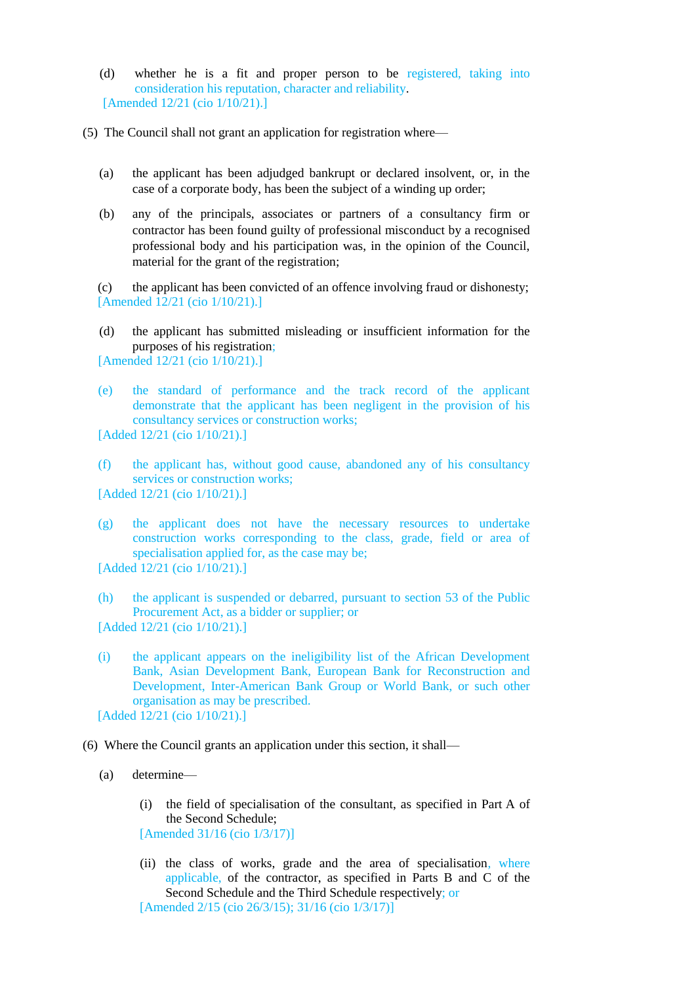(d) whether he is a fit and proper person to be registered, taking into consideration his reputation, character and reliability. [Amended 12/21 (cio 1/10/21).]

(5) The Council shall not grant an application for registration where—

- (a) the applicant has been adjudged bankrupt or declared insolvent, or, in the case of a corporate body, has been the subject of a winding up order;
- (b) any of the principals, associates or partners of a consultancy firm or contractor has been found guilty of professional misconduct by a recognised professional body and his participation was, in the opinion of the Council, material for the grant of the registration;

(c) the applicant has been convicted of an offence involving fraud or dishonesty; [Amended 12/21 (cio 1/10/21).]

(d) the applicant has submitted misleading or insufficient information for the purposes of his registration;

[Amended 12/21 (cio 1/10/21).]

(e) the standard of performance and the track record of the applicant demonstrate that the applicant has been negligent in the provision of his consultancy services or construction works;

[Added 12/21 (cio 1/10/21).]

- (f) the applicant has, without good cause, abandoned any of his consultancy services or construction works; [Added 12/21 (cio 1/10/21).]
- (g) the applicant does not have the necessary resources to undertake construction works corresponding to the class, grade, field or area of specialisation applied for, as the case may be;

[Added 12/21 (cio 1/10/21).]

- (h) the applicant is suspended or debarred, pursuant to section 53 of the Public Procurement Act, as a bidder or supplier; or [Added 12/21 (cio 1/10/21).]
- (i) the applicant appears on the ineligibility list of the African Development Bank, Asian Development Bank, European Bank for Reconstruction and Development, Inter-American Bank Group or World Bank, or such other organisation as may be prescribed. [Added 12/21 (cio 1/10/21).]

(6) Where the Council grants an application under this section, it shall—

- (a) determine—
	- (i) the field of specialisation of the consultant, as specified in Part A of the Second Schedule; [Amended 31/16 (cio 1/3/17)]
	- (ii) the class of works, grade and the area of specialisation, where applicable, of the contractor, as specified in Parts B and C of the Second Schedule and the Third Schedule respectively; or [Amended 2/15 (cio 26/3/15); 31/16 (cio 1/3/17)]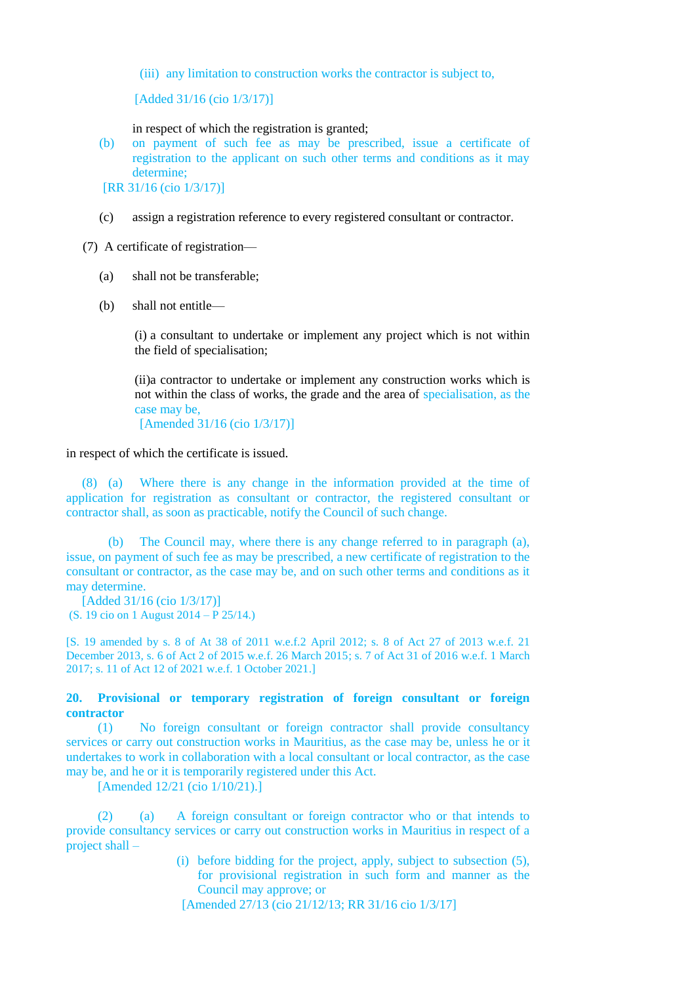(iii) any limitation to construction works the contractor is subject to,

[Added 31/16 (cio 1/3/17)]

in respect of which the registration is granted;

(b) on payment of such fee as may be prescribed, issue a certificate of registration to the applicant on such other terms and conditions as it may determine;

[RR 31/16 (cio 1/3/17)]

(c) assign a registration reference to every registered consultant or contractor.

(7) A certificate of registration—

- (a) shall not be transferable;
- (b) shall not entitle—

(i) a consultant to undertake or implement any project which is not within the field of specialisation;

(ii)a contractor to undertake or implement any construction works which is not within the class of works, the grade and the area of specialisation, as the case may be,

[Amended 31/16 (cio 1/3/17)]

in respect of which the certificate is issued.

(8) (a) Where there is any change in the information provided at the time of application for registration as consultant or contractor, the registered consultant or contractor shall, as soon as practicable, notify the Council of such change.

(b) The Council may, where there is any change referred to in paragraph (a), issue, on payment of such fee as may be prescribed, a new certificate of registration to the consultant or contractor, as the case may be, and on such other terms and conditions as it may determine.

[Added 31/16 (cio 1/3/17)] (S. 19 cio on 1 August 2014 – P 25/14.)

[S. 19 amended by s. 8 of At 38 of 2011 w.e.f.2 April 2012; s. 8 of Act 27 of 2013 w.e.f. 21 December 2013, s. 6 of Act 2 of 2015 w.e.f. 26 March 2015; s. 7 of Act 31 of 2016 w.e.f. 1 March 2017; s. 11 of Act 12 of 2021 w.e.f. 1 October 2021.]

**20. Provisional or temporary registration of foreign consultant or foreign contractor**

(1) No foreign consultant or foreign contractor shall provide consultancy services or carry out construction works in Mauritius, as the case may be, unless he or it undertakes to work in collaboration with a local consultant or local contractor, as the case may be, and he or it is temporarily registered under this Act.

[Amended 12/21 (cio 1/10/21).]

(2) (a) A foreign consultant or foreign contractor who or that intends to provide consultancy services or carry out construction works in Mauritius in respect of a project shall –

> (i) before bidding for the project, apply, subject to subsection (5), for provisional registration in such form and manner as the Council may approve; or

[Amended 27/13 (cio 21/12/13; RR 31/16 cio 1/3/17]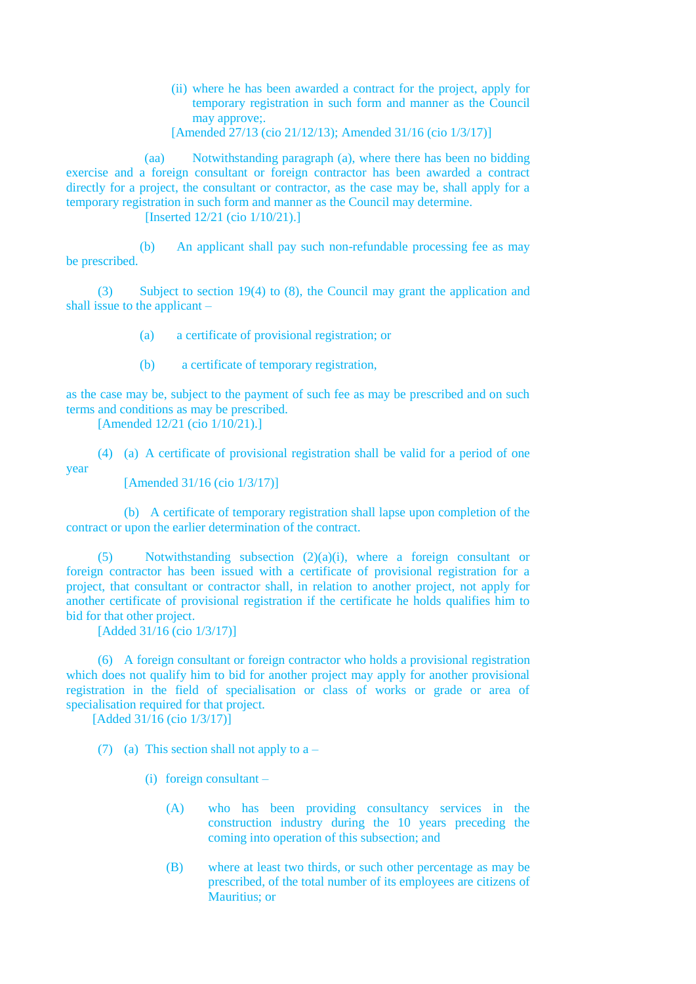(ii) where he has been awarded a contract for the project, apply for temporary registration in such form and manner as the Council may approve;.

[Amended 27/13 (cio 21/12/13); Amended 31/16 (cio 1/3/17)]

(aa) Notwithstanding paragraph (a), where there has been no bidding exercise and a foreign consultant or foreign contractor has been awarded a contract directly for a project, the consultant or contractor, as the case may be, shall apply for a temporary registration in such form and manner as the Council may determine. [Inserted 12/21 (cio 1/10/21).]

(b) An applicant shall pay such non-refundable processing fee as may be prescribed.

(3) Subject to section 19(4) to (8), the Council may grant the application and shall issue to the applicant –

(a) a certificate of provisional registration; or

(b) a certificate of temporary registration,

as the case may be, subject to the payment of such fee as may be prescribed and on such terms and conditions as may be prescribed.

[Amended 12/21 (cio 1/10/21).]

(4) (a) A certificate of provisional registration shall be valid for a period of one

year

[Amended 31/16 (cio 1/3/17)]

(b) A certificate of temporary registration shall lapse upon completion of the contract or upon the earlier determination of the contract.

(5) Notwithstanding subsection (2)(a)(i), where a foreign consultant or foreign contractor has been issued with a certificate of provisional registration for a project, that consultant or contractor shall, in relation to another project, not apply for another certificate of provisional registration if the certificate he holds qualifies him to bid for that other project.

[Added 31/16 (cio 1/3/17)]

(6) A foreign consultant or foreign contractor who holds a provisional registration which does not qualify him to bid for another project may apply for another provisional registration in the field of specialisation or class of works or grade or area of specialisation required for that project.

[Added 31/16 (cio 1/3/17)]

(7) (a) This section shall not apply to  $a -$ 

- (i) foreign consultant
	- (A) who has been providing consultancy services in the construction industry during the 10 years preceding the coming into operation of this subsection; and
	- (B) where at least two thirds, or such other percentage as may be prescribed, of the total number of its employees are citizens of Mauritius; or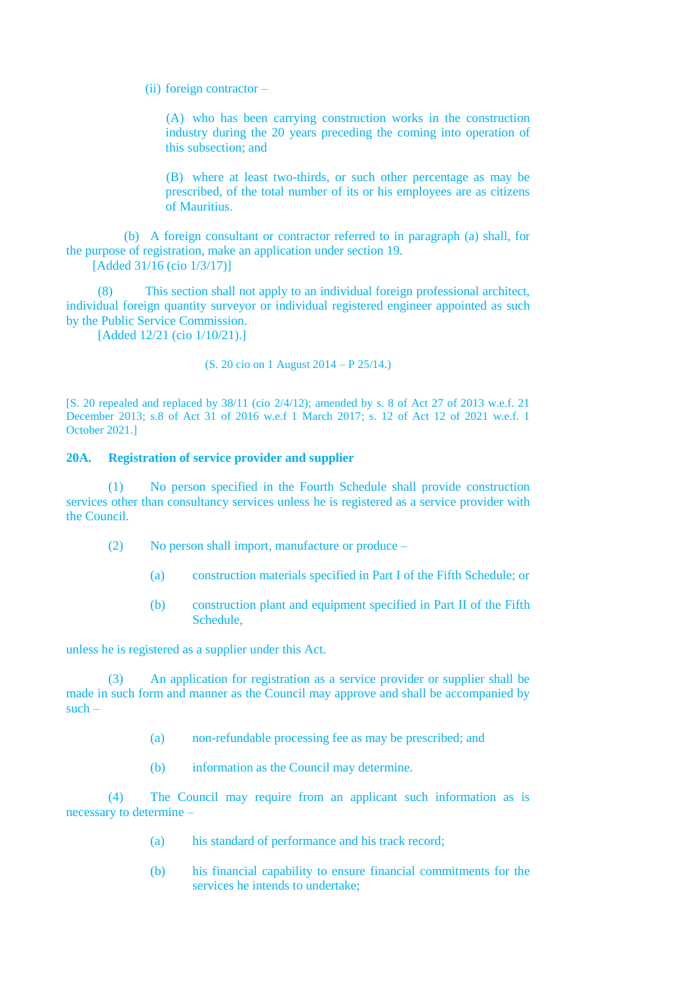(ii) foreign contractor –

(A) who has been carrying construction works in the construction industry during the 20 years preceding the coming into operation of this subsection; and

(B) where at least two-thirds, or such other percentage as may be prescribed, of the total number of its or his employees are as citizens of Mauritius.

(b) A foreign consultant or contractor referred to in paragraph (a) shall, for the purpose of registration, make an application under section 19. [Added 31/16 (cio 1/3/17)]

(8) This section shall not apply to an individual foreign professional architect, individual foreign quantity surveyor or individual registered engineer appointed as such by the Public Service Commission.

[Added 12/21 (cio 1/10/21).]

(S. 20 cio on 1 August 2014 – P 25/14.)

[S. 20 repealed and replaced by 38/11 (cio 2/4/12); amended by s. 8 of Act 27 of 2013 w.e.f. 21 December 2013; s.8 of Act 31 of 2016 w.e.f 1 March 2017; s. 12 of Act 12 of 2021 w.e.f. 1 October 2021.]

# **20A. Registration of service provider and supplier**

(1) No person specified in the Fourth Schedule shall provide construction services other than consultancy services unless he is registered as a service provider with the Council.

- (2) No person shall import, manufacture or produce
	- (a) construction materials specified in Part I of the Fifth Schedule; or
	- (b) construction plant and equipment specified in Part II of the Fifth Schedule,

unless he is registered as a supplier under this Act.

(3) An application for registration as a service provider or supplier shall be made in such form and manner as the Council may approve and shall be accompanied by  $such -$ 

- (a) non-refundable processing fee as may be prescribed; and
- (b) information as the Council may determine.

(4) The Council may require from an applicant such information as is necessary to determine –

- (a) his standard of performance and his track record;
- (b) his financial capability to ensure financial commitments for the services he intends to undertake;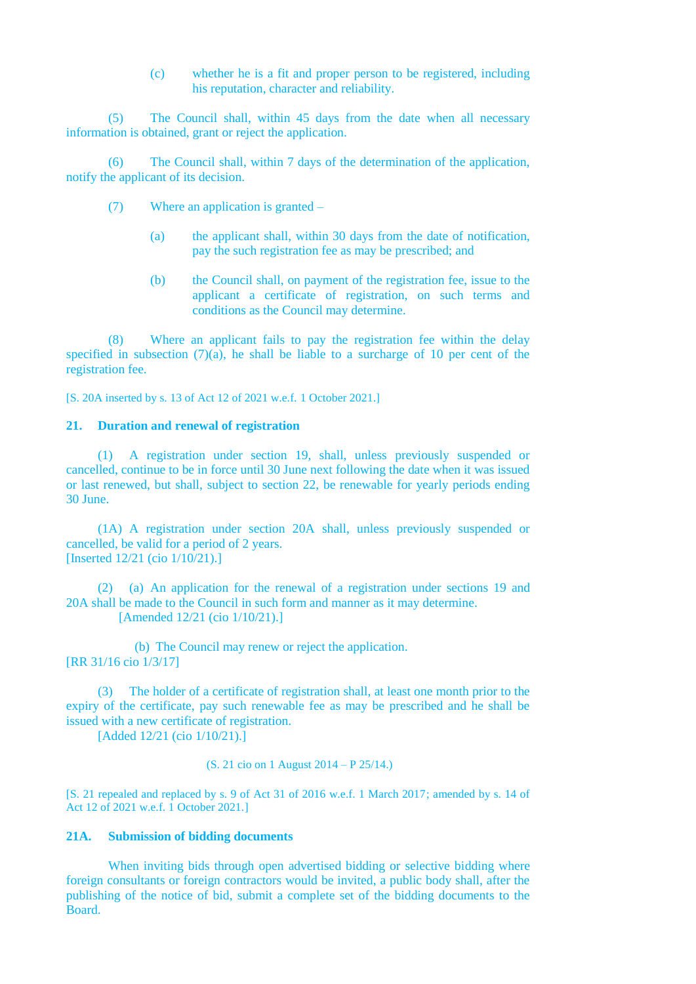(c) whether he is a fit and proper person to be registered, including his reputation, character and reliability.

(5) The Council shall, within 45 days from the date when all necessary information is obtained, grant or reject the application.

(6) The Council shall, within 7 days of the determination of the application, notify the applicant of its decision.

- (7) Where an application is granted
	- (a) the applicant shall, within 30 days from the date of notification, pay the such registration fee as may be prescribed; and
	- (b) the Council shall, on payment of the registration fee, issue to the applicant a certificate of registration, on such terms and conditions as the Council may determine.

(8) Where an applicant fails to pay the registration fee within the delay specified in subsection  $(7)(a)$ , he shall be liable to a surcharge of 10 per cent of the registration fee.

[S. 20A inserted by s. 13 of Act 12 of 2021 w.e.f. 1 October 2021.]

#### **21. Duration and renewal of registration**

(1) A registration under section 19, shall, unless previously suspended or cancelled, continue to be in force until 30 June next following the date when it was issued or last renewed, but shall, subject to section 22, be renewable for yearly periods ending 30 June.

(1A) A registration under section 20A shall, unless previously suspended or cancelled, be valid for a period of 2 years. [Inserted 12/21 (cio 1/10/21).]

(2) (a) An application for the renewal of a registration under sections 19 and 20A shall be made to the Council in such form and manner as it may determine. [Amended 12/21 (cio 1/10/21).]

(b) The Council may renew or reject the application. [RR 31/16 cio 1/3/17]

(3) The holder of a certificate of registration shall, at least one month prior to the expiry of the certificate, pay such renewable fee as may be prescribed and he shall be issued with a new certificate of registration.

[Added 12/21 (cio 1/10/21).]

(S. 21 cio on 1 August 2014 – P 25/14.)

[S. 21 repealed and replaced by s. 9 of Act 31 of 2016 w.e.f. 1 March 2017; amended by s. 14 of Act 12 of 2021 w.e.f. 1 October 2021.]

### **21A. Submission of bidding documents**

When inviting bids through open advertised bidding or selective bidding where foreign consultants or foreign contractors would be invited, a public body shall, after the publishing of the notice of bid, submit a complete set of the bidding documents to the **Board**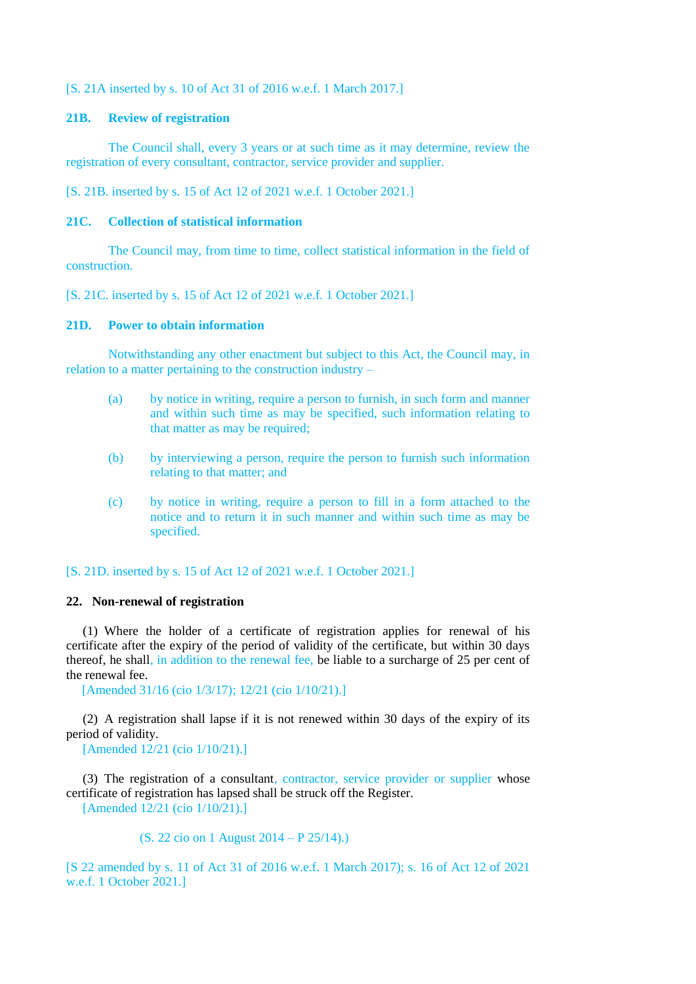# [S. 21A inserted by s. 10 of Act 31 of 2016 w.e.f. 1 March 2017.]

#### **21B. Review of registration**

The Council shall, every 3 years or at such time as it may determine, review the registration of every consultant, contractor, service provider and supplier.

[S. 21B. inserted by s. 15 of Act 12 of 2021 w.e.f. 1 October 2021.]

### **21C. Collection of statistical information**

The Council may, from time to time, collect statistical information in the field of construction.

[S. 21C. inserted by s. 15 of Act 12 of 2021 w.e.f. 1 October 2021.]

### **21D. Power to obtain information**

Notwithstanding any other enactment but subject to this Act, the Council may, in relation to a matter pertaining to the construction industry –

- (a) by notice in writing, require a person to furnish, in such form and manner and within such time as may be specified, such information relating to that matter as may be required;
- (b) by interviewing a person, require the person to furnish such information relating to that matter; and
- (c) by notice in writing, require a person to fill in a form attached to the notice and to return it in such manner and within such time as may be specified.

# [S. 21D. inserted by s. 15 of Act 12 of 2021 w.e.f. 1 October 2021.]

### **22. Non-renewal of registration**

(1) Where the holder of a certificate of registration applies for renewal of his certificate after the expiry of the period of validity of the certificate, but within 30 days thereof, he shall, in addition to the renewal fee, be liable to a surcharge of 25 per cent of the renewal fee.

[Amended 31/16 (cio 1/3/17); 12/21 (cio 1/10/21).]

(2) A registration shall lapse if it is not renewed within 30 days of the expiry of its period of validity.

[Amended 12/21 (cio 1/10/21).]

(3) The registration of a consultant, contractor, service provider or supplier whose certificate of registration has lapsed shall be struck off the Register. [Amended 12/21 (cio 1/10/21).]

(S. 22 cio on 1 August 2014 – P 25/14).)

[S 22 amended by s. 11 of Act 31 of 2016 w.e.f. 1 March 2017); s. 16 of Act 12 of 2021 w.e.f. 1 October 2021.]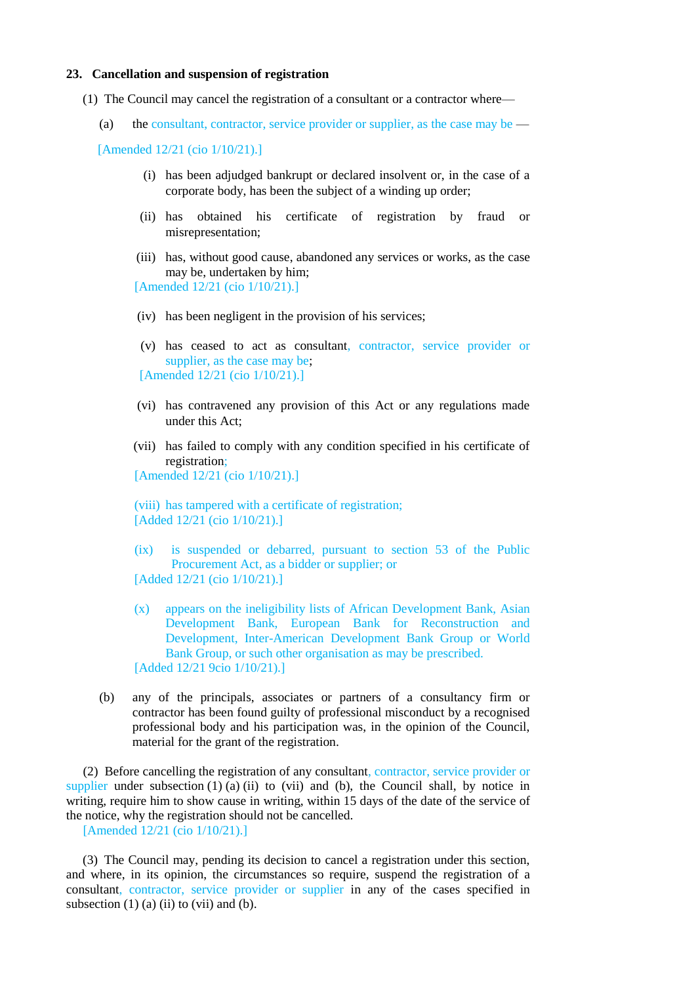#### **23. Cancellation and suspension of registration**

- (1) The Council may cancel the registration of a consultant or a contractor where—
	- (a) the consultant, contractor, service provider or supplier, as the case may be  $-$

[Amended 12/21 (cio 1/10/21).]

- (i) has been adjudged bankrupt or declared insolvent or, in the case of a corporate body, has been the subject of a winding up order;
- (ii) has obtained his certificate of registration by fraud or misrepresentation;
- (iii) has, without good cause, abandoned any services or works, as the case may be, undertaken by him;

[Amended 12/21 (cio 1/10/21).]

- (iv) has been negligent in the provision of his services;
- (v) has ceased to act as consultant, contractor, service provider or supplier, as the case may be; [Amended 12/21 (cio 1/10/21).]
- (vi) has contravened any provision of this Act or any regulations made under this Act;
- (vii) has failed to comply with any condition specified in his certificate of registration;

[Amended 12/21 (cio 1/10/21).]

(viii) has tampered with a certificate of registration; [Added 12/21 (cio 1/10/21).]

- (ix) is suspended or debarred, pursuant to section 53 of the Public Procurement Act, as a bidder or supplier; or [Added 12/21 (cio 1/10/21).]
- (x) appears on the ineligibility lists of African Development Bank, Asian Development Bank, European Bank for Reconstruction and Development, Inter-American Development Bank Group or World Bank Group, or such other organisation as may be prescribed. [Added 12/21 9cio 1/10/21).]
- (b) any of the principals, associates or partners of a consultancy firm or contractor has been found guilty of professional misconduct by a recognised professional body and his participation was, in the opinion of the Council, material for the grant of the registration.

(2) Before cancelling the registration of any consultant, contractor, service provider or supplier under subsection  $(1)$   $(a)$   $(ii)$  to  $(vii)$  and  $(b)$ , the Council shall, by notice in writing, require him to show cause in writing, within 15 days of the date of the service of the notice, why the registration should not be cancelled.

[Amended 12/21 (cio 1/10/21).]

(3) The Council may, pending its decision to cancel a registration under this section, and where, in its opinion, the circumstances so require, suspend the registration of a consultant, contractor, service provider or supplier in any of the cases specified in subsection  $(1)$   $(a)$   $(ii)$  to  $(vii)$  and  $(b)$ .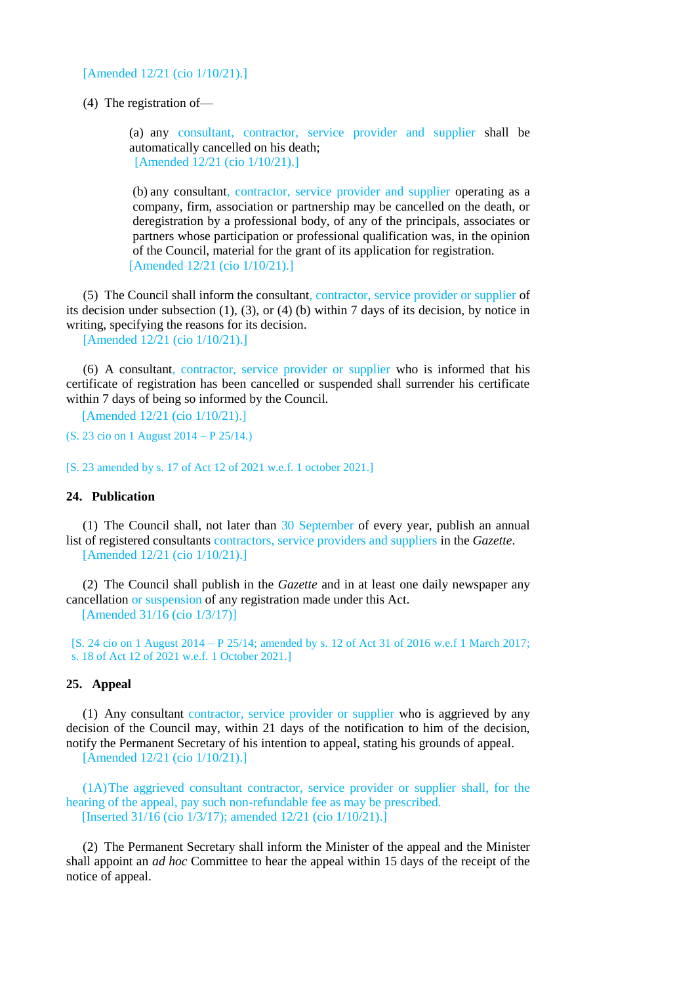[Amended 12/21 (cio 1/10/21).]

(4) The registration of—

(a) any consultant, contractor, service provider and supplier shall be automatically cancelled on his death; [Amended 12/21 (cio 1/10/21).]

(b) any consultant, contractor, service provider and supplier operating as a company, firm, association or partnership may be cancelled on the death, or deregistration by a professional body, of any of the principals, associates or partners whose participation or professional qualification was, in the opinion of the Council, material for the grant of its application for registration. [Amended 12/21 (cio 1/10/21).]

(5) The Council shall inform the consultant, contractor, service provider or supplier of its decision under subsection (1), (3), or (4) (b) within 7 days of its decision, by notice in writing, specifying the reasons for its decision.

[Amended 12/21 (cio 1/10/21).]

(6) A consultant, contractor, service provider or supplier who is informed that his certificate of registration has been cancelled or suspended shall surrender his certificate within 7 days of being so informed by the Council.

[Amended 12/21 (cio 1/10/21).]

(S. 23 cio on 1 August 2014 – P 25/14.)

[S. 23 amended by s. 17 of Act 12 of 2021 w.e.f. 1 october 2021.]

# **24. Publication**

(1) The Council shall, not later than 30 September of every year, publish an annual list of registered consultants contractors, service providers and suppliers in the *Gazette*. [Amended 12/21 (cio 1/10/21).]

(2) The Council shall publish in the *Gazette* and in at least one daily newspaper any cancellation or suspension of any registration made under this Act. [Amended 31/16 (cio 1/3/17)]

[S. 24 cio on 1 August 2014 – P 25/14; amended by s. 12 of Act 31 of 2016 w.e.f 1 March 2017; s. 18 of Act 12 of 2021 w.e.f. 1 October 2021.]

### **25. Appeal**

(1) Any consultant contractor, service provider or supplier who is aggrieved by any decision of the Council may, within 21 days of the notification to him of the decision, notify the Permanent Secretary of his intention to appeal, stating his grounds of appeal.

[Amended 12/21 (cio 1/10/21).]

(1A)The aggrieved consultant contractor, service provider or supplier shall, for the hearing of the appeal, pay such non-refundable fee as may be prescribed. [Inserted 31/16 (cio 1/3/17); amended 12/21 (cio 1/10/21).]

(2) The Permanent Secretary shall inform the Minister of the appeal and the Minister shall appoint an *ad hoc* Committee to hear the appeal within 15 days of the receipt of the notice of appeal.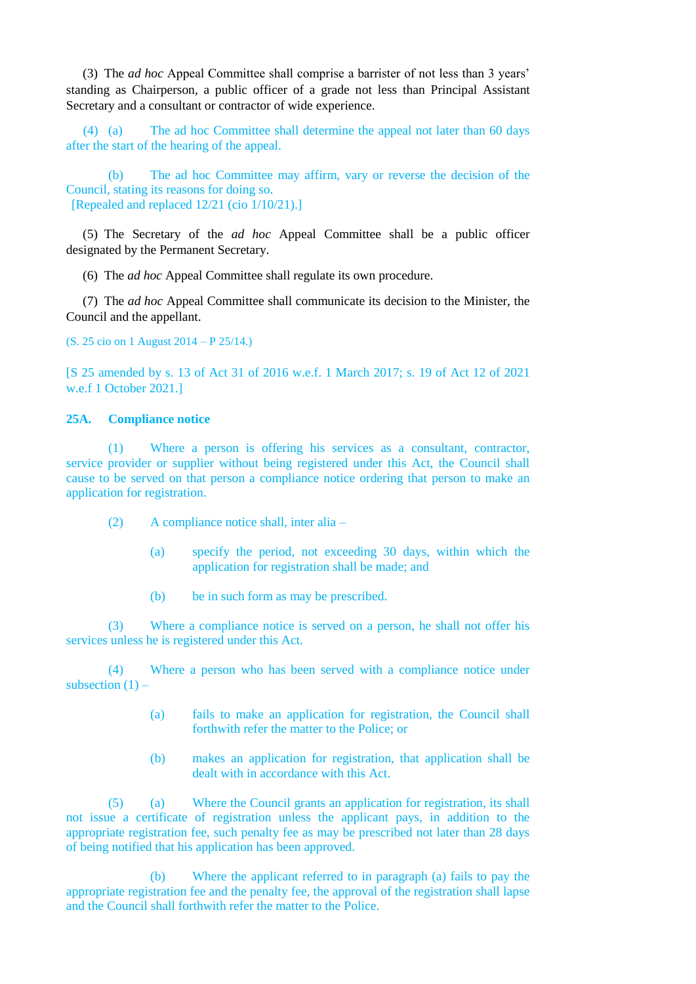(3) The *ad hoc* Appeal Committee shall comprise a barrister of not less than 3 years' standing as Chairperson, a public officer of a grade not less than Principal Assistant Secretary and a consultant or contractor of wide experience.

(4) (a) The ad hoc Committee shall determine the appeal not later than 60 days after the start of the hearing of the appeal.

(b) The ad hoc Committee may affirm, vary or reverse the decision of the Council, stating its reasons for doing so. [Repealed and replaced 12/21 (cio 1/10/21).]

(5) The Secretary of the *ad hoc* Appeal Committee shall be a public officer designated by the Permanent Secretary.

(6) The *ad hoc* Appeal Committee shall regulate its own procedure.

(7) The *ad hoc* Appeal Committee shall communicate its decision to the Minister, the Council and the appellant.

(S. 25 cio on 1 August 2014 – P 25/14.)

[S 25 amended by s. 13 of Act 31 of 2016 w.e.f. 1 March 2017; s. 19 of Act 12 of 2021 w.e.f 1 October 2021.]

## **25A. Compliance notice**

(1) Where a person is offering his services as a consultant, contractor, service provider or supplier without being registered under this Act, the Council shall cause to be served on that person a compliance notice ordering that person to make an application for registration.

- (2) A compliance notice shall, inter alia
	- (a) specify the period, not exceeding 30 days, within which the application for registration shall be made; and
	- (b) be in such form as may be prescribed.

(3) Where a compliance notice is served on a person, he shall not offer his services unless he is registered under this Act.

(4) Where a person who has been served with a compliance notice under subsection  $(1)$  –

- (a) fails to make an application for registration, the Council shall forthwith refer the matter to the Police; or
- (b) makes an application for registration, that application shall be dealt with in accordance with this Act.

(5) (a) Where the Council grants an application for registration, its shall not issue a certificate of registration unless the applicant pays, in addition to the appropriate registration fee, such penalty fee as may be prescribed not later than 28 days of being notified that his application has been approved.

(b) Where the applicant referred to in paragraph (a) fails to pay the appropriate registration fee and the penalty fee, the approval of the registration shall lapse and the Council shall forthwith refer the matter to the Police.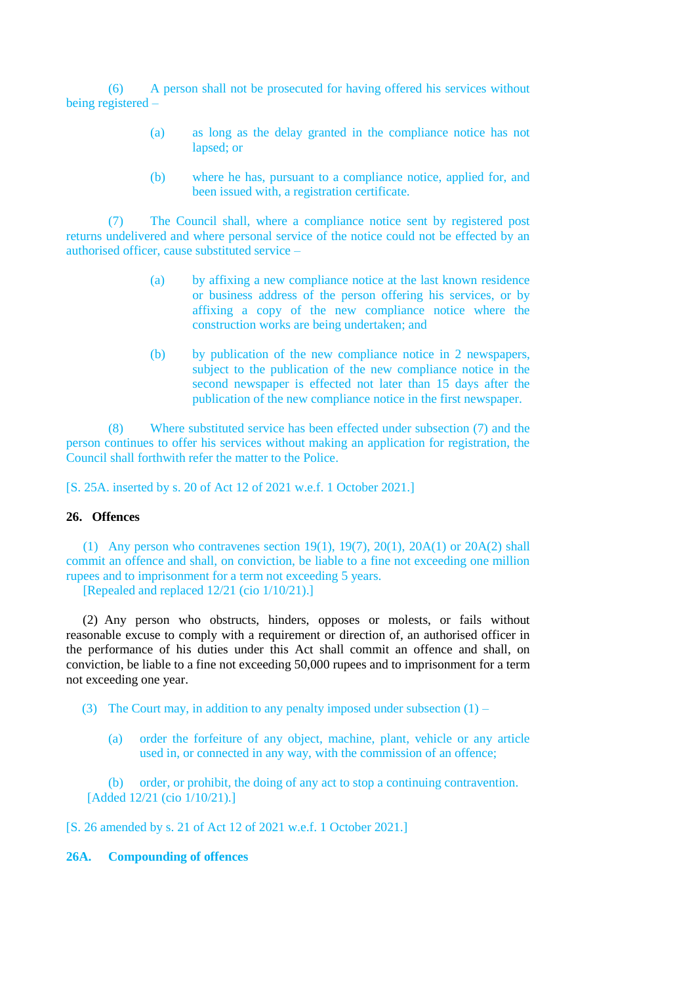(6) A person shall not be prosecuted for having offered his services without being registered –

- (a) as long as the delay granted in the compliance notice has not lapsed; or
- (b) where he has, pursuant to a compliance notice, applied for, and been issued with, a registration certificate.

(7) The Council shall, where a compliance notice sent by registered post returns undelivered and where personal service of the notice could not be effected by an authorised officer, cause substituted service –

- (a) by affixing a new compliance notice at the last known residence or business address of the person offering his services, or by affixing a copy of the new compliance notice where the construction works are being undertaken; and
- (b) by publication of the new compliance notice in 2 newspapers, subject to the publication of the new compliance notice in the second newspaper is effected not later than 15 days after the publication of the new compliance notice in the first newspaper.

(8) Where substituted service has been effected under subsection (7) and the person continues to offer his services without making an application for registration, the Council shall forthwith refer the matter to the Police.

[S. 25A. inserted by s. 20 of Act 12 of 2021 w.e.f. 1 October 2021.]

# **26. Offences**

(1) Any person who contravenes section 19(1), 19(7), 20(1), 20A(1) or 20A(2) shall commit an offence and shall, on conviction, be liable to a fine not exceeding one million rupees and to imprisonment for a term not exceeding 5 years. [Repealed and replaced 12/21 (cio 1/10/21).]

(2) Any person who obstructs, hinders, opposes or molests, or fails without reasonable excuse to comply with a requirement or direction of, an authorised officer in the performance of his duties under this Act shall commit an offence and shall, on conviction, be liable to a fine not exceeding 50,000 rupees and to imprisonment for a term not exceeding one year.

(3) The Court may, in addition to any penalty imposed under subsection  $(1)$  –

(a) order the forfeiture of any object, machine, plant, vehicle or any article used in, or connected in any way, with the commission of an offence;

(b) order, or prohibit, the doing of any act to stop a continuing contravention. [Added 12/21 (cio 1/10/21).]

[S. 26 amended by s. 21 of Act 12 of 2021 w.e.f. 1 October 2021.]

# **26A. Compounding of offences**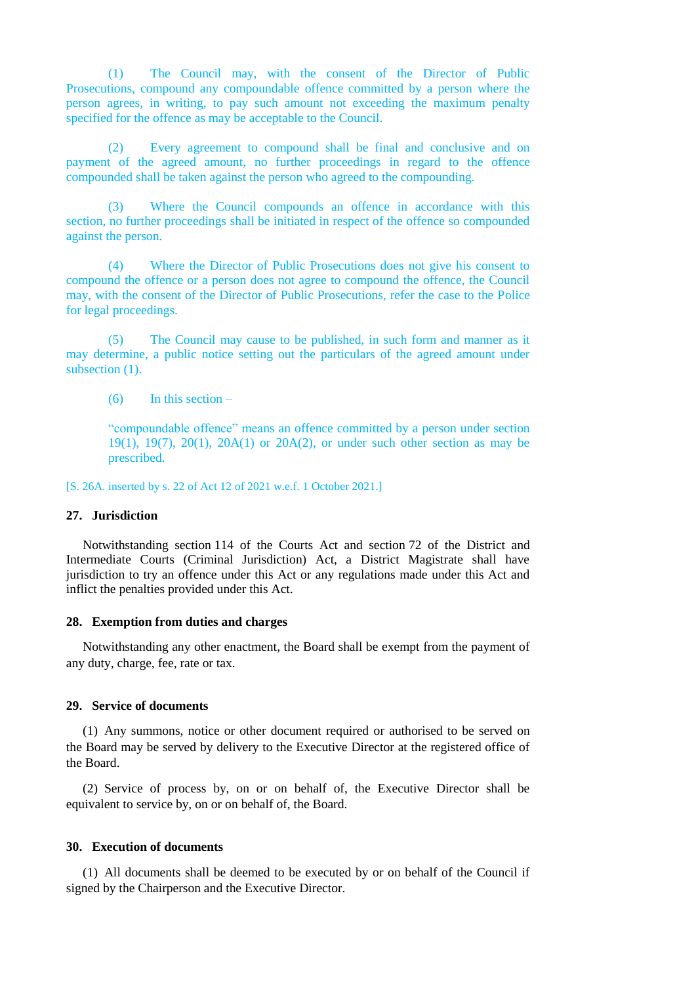(1) The Council may, with the consent of the Director of Public Prosecutions, compound any compoundable offence committed by a person where the person agrees, in writing, to pay such amount not exceeding the maximum penalty specified for the offence as may be acceptable to the Council.

(2) Every agreement to compound shall be final and conclusive and on payment of the agreed amount, no further proceedings in regard to the offence compounded shall be taken against the person who agreed to the compounding.

(3) Where the Council compounds an offence in accordance with this section, no further proceedings shall be initiated in respect of the offence so compounded against the person.

(4) Where the Director of Public Prosecutions does not give his consent to compound the offence or a person does not agree to compound the offence, the Council may, with the consent of the Director of Public Prosecutions, refer the case to the Police for legal proceedings.

(5) The Council may cause to be published, in such form and manner as it may determine, a public notice setting out the particulars of the agreed amount under subsection (1).

(6) In this section –

"compoundable offence" means an offence committed by a person under section 19(1), 19(7), 20(1), 20A(1) or 20A(2), or under such other section as may be prescribed.

[S. 26A. inserted by s. 22 of Act 12 of 2021 w.e.f. 1 October 2021.]

#### **27. Jurisdiction**

Notwithstanding section 114 of the Courts Act and section 72 of the District and Intermediate Courts (Criminal Jurisdiction) Act, a District Magistrate shall have jurisdiction to try an offence under this Act or any regulations made under this Act and inflict the penalties provided under this Act.

#### **28. Exemption from duties and charges**

Notwithstanding any other enactment, the Board shall be exempt from the payment of any duty, charge, fee, rate or tax.

#### **29. Service of documents**

(1) Any summons, notice or other document required or authorised to be served on the Board may be served by delivery to the Executive Director at the registered office of the Board.

(2) Service of process by, on or on behalf of, the Executive Director shall be equivalent to service by, on or on behalf of, the Board.

### **30. Execution of documents**

(1) All documents shall be deemed to be executed by or on behalf of the Council if signed by the Chairperson and the Executive Director.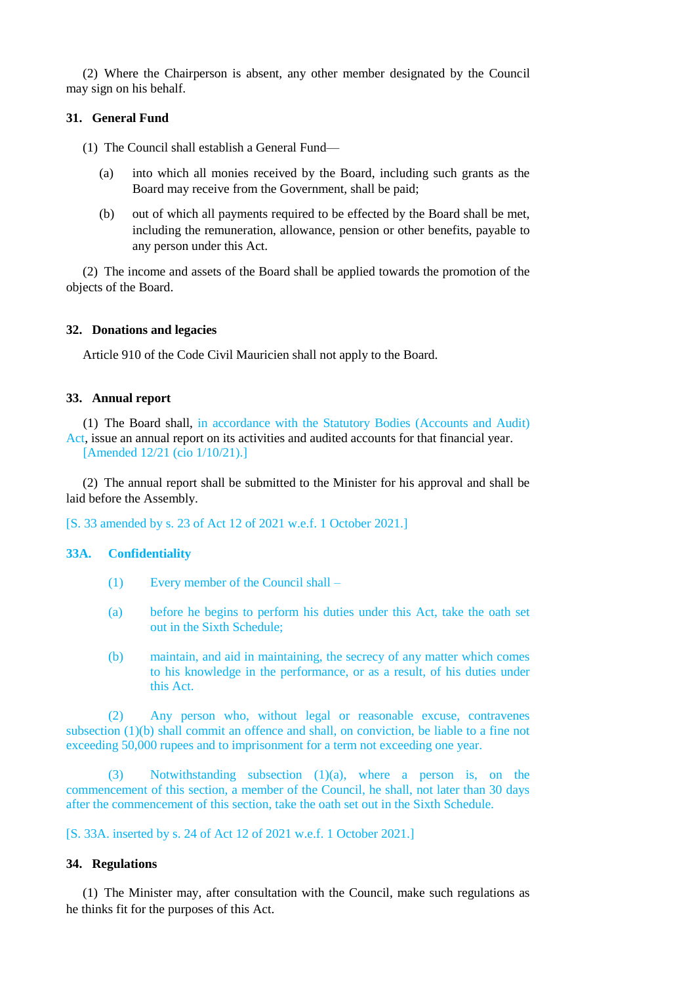(2) Where the Chairperson is absent, any other member designated by the Council may sign on his behalf.

## **31. General Fund**

(1) The Council shall establish a General Fund—

- (a) into which all monies received by the Board, including such grants as the Board may receive from the Government, shall be paid;
- (b) out of which all payments required to be effected by the Board shall be met, including the remuneration, allowance, pension or other benefits, payable to any person under this Act.

(2) The income and assets of the Board shall be applied towards the promotion of the objects of the Board.

### **32. Donations and legacies**

Article 910 of the Code Civil Mauricien shall not apply to the Board.

### **33. Annual report**

(1) The Board shall, in accordance with the Statutory Bodies (Accounts and Audit) Act, issue an annual report on its activities and audited accounts for that financial year. [Amended 12/21 (cio 1/10/21).]

(2) The annual report shall be submitted to the Minister for his approval and shall be laid before the Assembly.

[S. 33 amended by s. 23 of Act 12 of 2021 w.e.f. 1 October 2021.]

### **33A. Confidentiality**

- (1) Every member of the Council shall –
- (a) before he begins to perform his duties under this Act, take the oath set out in the Sixth Schedule;
- (b) maintain, and aid in maintaining, the secrecy of any matter which comes to his knowledge in the performance, or as a result, of his duties under this Act.

(2) Any person who, without legal or reasonable excuse, contravenes subsection (1)(b) shall commit an offence and shall, on conviction, be liable to a fine not exceeding 50,000 rupees and to imprisonment for a term not exceeding one year.

(3) Notwithstanding subsection (1)(a), where a person is, on the commencement of this section, a member of the Council, he shall, not later than 30 days after the commencement of this section, take the oath set out in the Sixth Schedule.

[S. 33A. inserted by s. 24 of Act 12 of 2021 w.e.f. 1 October 2021.]

## **34. Regulations**

(1) The Minister may, after consultation with the Council, make such regulations as he thinks fit for the purposes of this Act.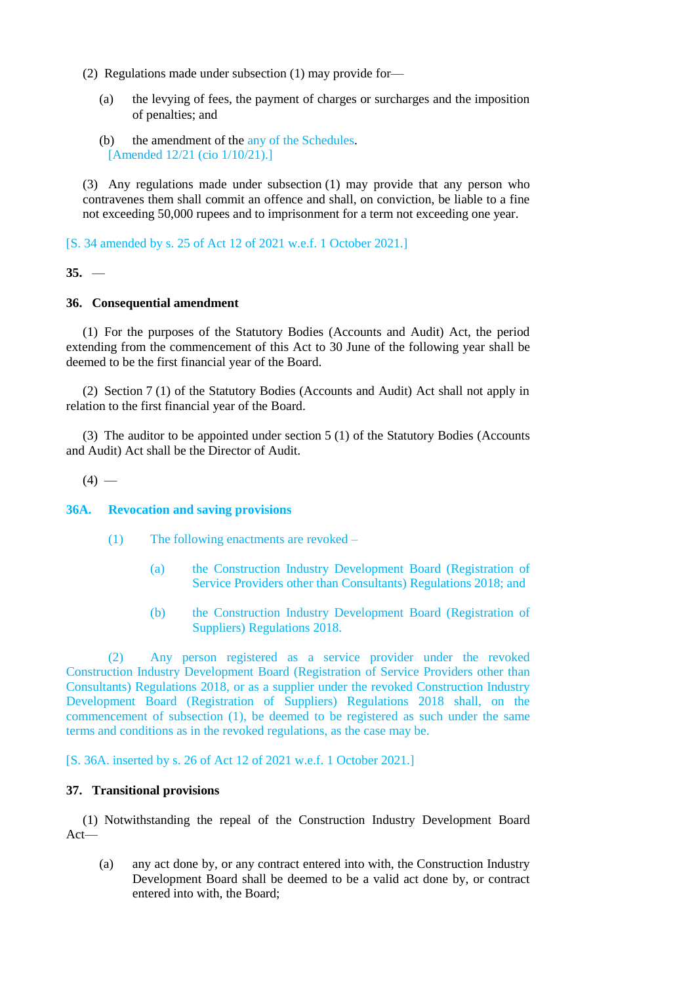- (2) Regulations made under subsection (1) may provide for—
	- (a) the levying of fees, the payment of charges or surcharges and the imposition of penalties; and
	- (b) the amendment of the any of the Schedules. [Amended 12/21 (cio 1/10/21).]

(3) Any regulations made under subsection (1) may provide that any person who contravenes them shall commit an offence and shall, on conviction, be liable to a fine not exceeding 50,000 rupees and to imprisonment for a term not exceeding one year.

[S. 34 amended by s. 25 of Act 12 of 2021 w.e.f. 1 October 2021.]

### **35.** —

## **36. Consequential amendment**

(1) For the purposes of the Statutory Bodies (Accounts and Audit) Act, the period extending from the commencement of this Act to 30 June of the following year shall be deemed to be the first financial year of the Board.

(2) Section 7 (1) of the Statutory Bodies (Accounts and Audit) Act shall not apply in relation to the first financial year of the Board.

(3) The auditor to be appointed under section 5 (1) of the Statutory Bodies (Accounts and Audit) Act shall be the Director of Audit.

 $(4)$  —

**36A. Revocation and saving provisions**

- (1) The following enactments are revoked
	- (a) the Construction Industry Development Board (Registration of Service Providers other than Consultants) Regulations 2018; and
	- (b) the Construction Industry Development Board (Registration of Suppliers) Regulations 2018.

(2) Any person registered as a service provider under the revoked Construction Industry Development Board (Registration of Service Providers other than Consultants) Regulations 2018, or as a supplier under the revoked Construction Industry Development Board (Registration of Suppliers) Regulations 2018 shall, on the commencement of subsection (1), be deemed to be registered as such under the same terms and conditions as in the revoked regulations, as the case may be.

[S. 36A. inserted by s. 26 of Act 12 of 2021 w.e.f. 1 October 2021.]

### **37. Transitional provisions**

(1) Notwithstanding the repeal of the Construction Industry Development Board Act—

(a) any act done by, or any contract entered into with, the Construction Industry Development Board shall be deemed to be a valid act done by, or contract entered into with, the Board;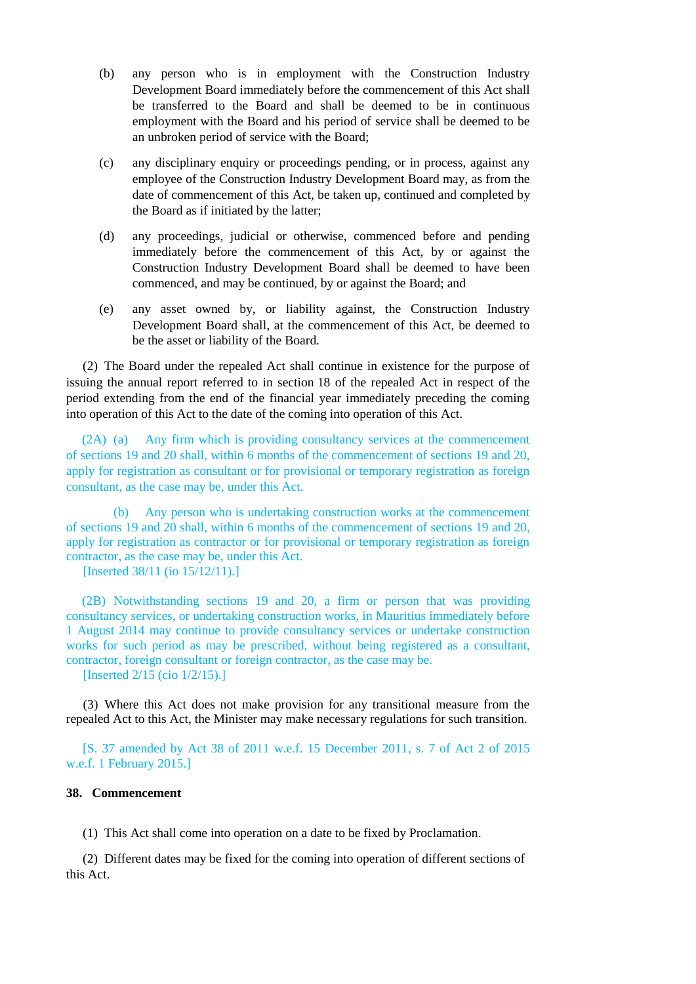- (b) any person who is in employment with the Construction Industry Development Board immediately before the commencement of this Act shall be transferred to the Board and shall be deemed to be in continuous employment with the Board and his period of service shall be deemed to be an unbroken period of service with the Board;
- (c) any disciplinary enquiry or proceedings pending, or in process, against any employee of the Construction Industry Development Board may, as from the date of commencement of this Act, be taken up, continued and completed by the Board as if initiated by the latter;
- (d) any proceedings, judicial or otherwise, commenced before and pending immediately before the commencement of this Act, by or against the Construction Industry Development Board shall be deemed to have been commenced, and may be continued, by or against the Board; and
- (e) any asset owned by, or liability against, the Construction Industry Development Board shall, at the commencement of this Act, be deemed to be the asset or liability of the Board.

(2) The Board under the repealed Act shall continue in existence for the purpose of issuing the annual report referred to in section 18 of the repealed Act in respect of the period extending from the end of the financial year immediately preceding the coming into operation of this Act to the date of the coming into operation of this Act.

(2A) (a) Any firm which is providing consultancy services at the commencement of sections 19 and 20 shall, within 6 months of the commencement of sections 19 and 20, apply for registration as consultant or for provisional or temporary registration as foreign consultant, as the case may be, under this Act.

(b) Any person who is undertaking construction works at the commencement of sections 19 and 20 shall, within 6 months of the commencement of sections 19 and 20, apply for registration as contractor or for provisional or temporary registration as foreign contractor, as the case may be, under this Act.

[Inserted 38/11 (io 15/12/11).]

(2B) Notwithstanding sections 19 and 20, a firm or person that was providing consultancy services, or undertaking construction works, in Mauritius immediately before 1 August 2014 may continue to provide consultancy services or undertake construction works for such period as may be prescribed, without being registered as a consultant, contractor, foreign consultant or foreign contractor, as the case may be.

[Inserted 2/15 (cio 1/2/15).]

(3) Where this Act does not make provision for any transitional measure from the repealed Act to this Act, the Minister may make necessary regulations for such transition.

[S. 37 amended by Act 38 of 2011 w.e.f. 15 December 2011, s. 7 of Act 2 of 2015 w.e.f. 1 February 2015.]

## **38. Commencement**

(1) This Act shall come into operation on a date to be fixed by Proclamation.

(2) Different dates may be fixed for the coming into operation of different sections of this Act.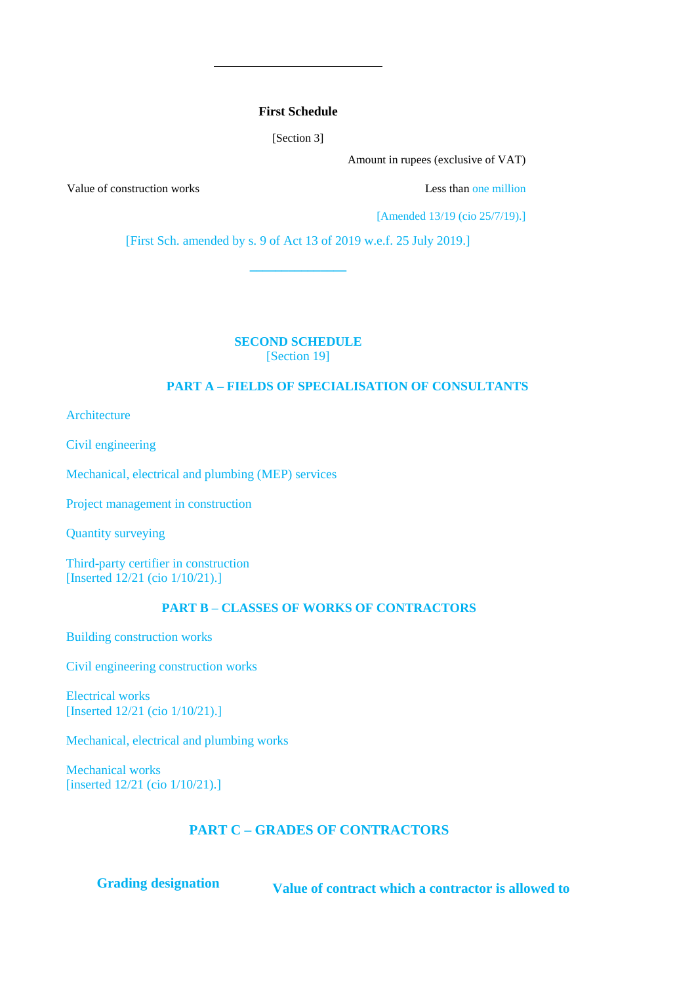## **First Schedule**

[Section 3]

Amount in rupees (exclusive of VAT)

Value of construction works **Less** than one million

[Amended 13/19 (cio 25/7/19).]

[First Sch. amended by s. 9 of Act 13 of 2019 w.e.f. 25 July 2019.]

**\_\_\_\_\_\_\_\_\_\_\_\_\_\_\_**

**SECOND SCHEDULE**

[Section 19]

# **PART A – FIELDS OF SPECIALISATION OF CONSULTANTS**

Architecture

Civil engineering

Mechanical, electrical and plumbing (MEP) services

Project management in construction

Quantity surveying

Third-party certifier in construction [Inserted 12/21 (cio 1/10/21).]

# **PART B – CLASSES OF WORKS OF CONTRACTORS**

Building construction works

Civil engineering construction works

Electrical works [Inserted 12/21 (cio 1/10/21).]

Mechanical, electrical and plumbing works

Mechanical works [inserted 12/21 (cio 1/10/21).]

# **PART C – GRADES OF CONTRACTORS**

**Grading designation Value of contract which a contractor is allowed to**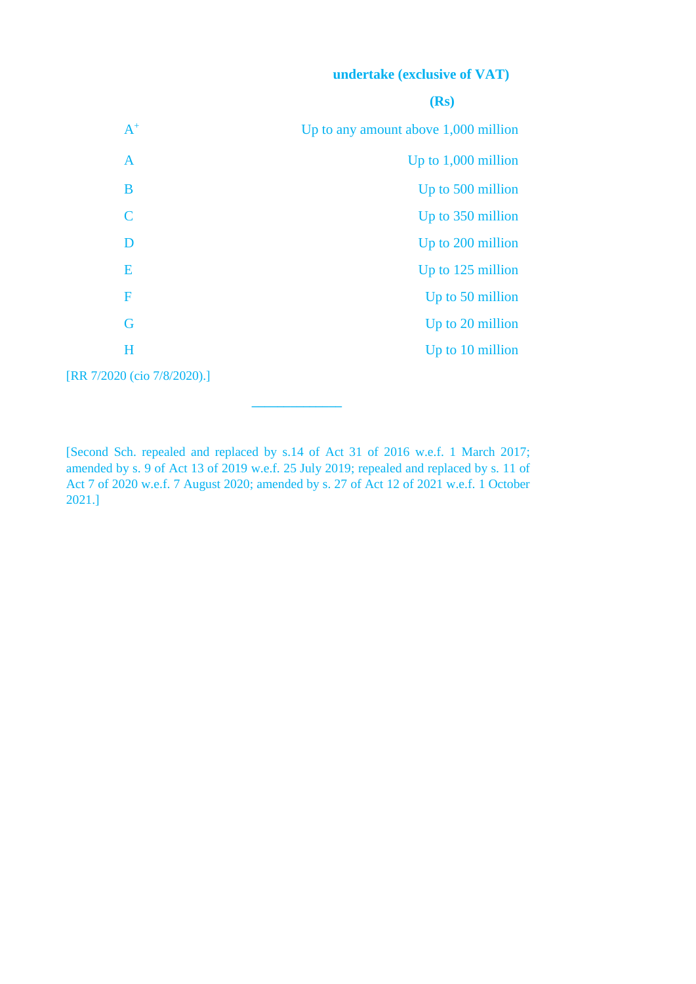# **undertake (exclusive of VAT)**

|                             | (Rs)                                   |
|-----------------------------|----------------------------------------|
| $A^+$                       | Up to any amount above $1,000$ million |
| $\mathbf{A}$                | Up to 1,000 million                    |
| B                           | Up to 500 million                      |
| C                           | Up to 350 million                      |
| D                           | Up to 200 million                      |
| E                           | Up to 125 million                      |
| F                           | Up to 50 million                       |
| G                           | Up to 20 million                       |
| $H_{\rm}$                   | Up to 10 million                       |
| [RR 7/2020 (cio 7/8/2020).] |                                        |

[Second Sch. repealed and replaced by s.14 of Act 31 of 2016 w.e.f. 1 March 2017; amended by s. 9 of Act 13 of 2019 w.e.f. 25 July 2019; repealed and replaced by s. 11 of Act 7 of 2020 w.e.f. 7 August 2020; amended by s. 27 of Act 12 of 2021 w.e.f. 1 October 2021.]

**\_\_\_\_\_\_\_\_\_\_\_\_\_\_**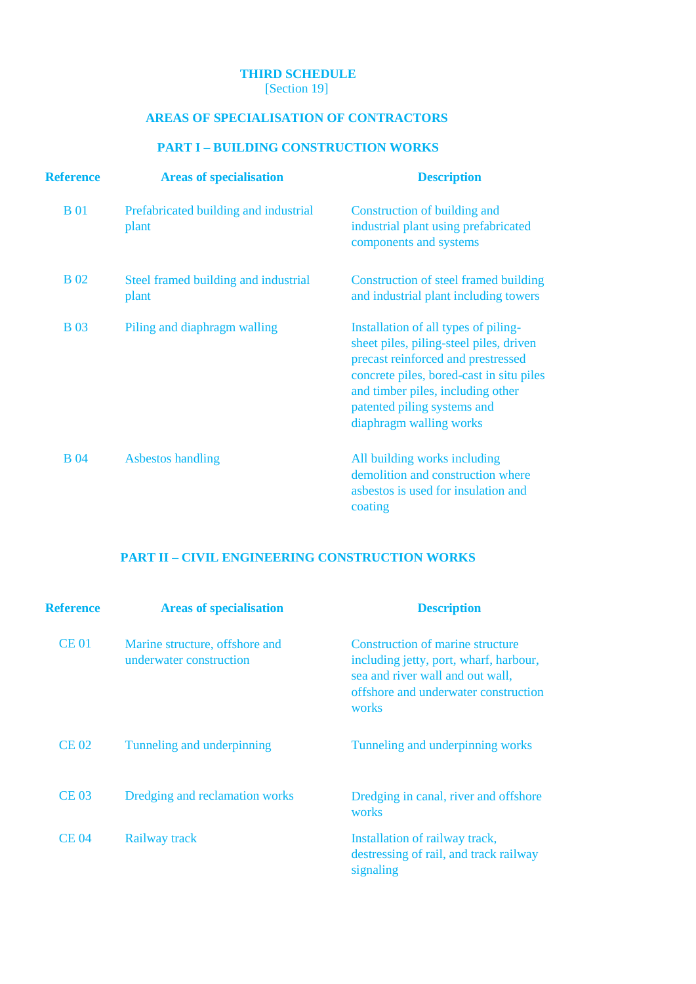# **THIRD SCHEDULE**

[Section 19]

# **AREAS OF SPECIALISATION OF CONTRACTORS**

# **PART I – BUILDING CONSTRUCTION WORKS**

| <b>Reference</b> | <b>Areas of specialisation</b>                 | <b>Description</b>                                                                                                                                                                                                                                               |
|------------------|------------------------------------------------|------------------------------------------------------------------------------------------------------------------------------------------------------------------------------------------------------------------------------------------------------------------|
| <b>B</b> 01      | Prefabricated building and industrial<br>plant | Construction of building and<br>industrial plant using prefabricated<br>components and systems                                                                                                                                                                   |
| <b>B</b> 02      | Steel framed building and industrial<br>plant  | Construction of steel framed building<br>and industrial plant including towers                                                                                                                                                                                   |
| <b>B</b> 03      | Piling and diaphragm walling                   | Installation of all types of piling-<br>sheet piles, piling-steel piles, driven<br>precast reinforced and prestressed<br>concrete piles, bored-cast in situ piles<br>and timber piles, including other<br>patented piling systems and<br>diaphragm walling works |
| <b>B</b> 04      | <b>Asbestos handling</b>                       | All building works including<br>demolition and construction where<br>asbestos is used for insulation and<br>coating                                                                                                                                              |

# **PART II – CIVIL ENGINEERING CONSTRUCTION WORKS**

| <b>Reference</b> | <b>Areas of specialisation</b>                            | <b>Description</b>                                                                                                                                              |
|------------------|-----------------------------------------------------------|-----------------------------------------------------------------------------------------------------------------------------------------------------------------|
| <b>CE01</b>      | Marine structure, offshore and<br>underwater construction | Construction of marine structure<br>including jetty, port, wharf, harbour,<br>sea and river wall and out wall,<br>offshore and underwater construction<br>works |
| <b>CE 02</b>     | Tunneling and underpinning                                | Tunneling and underpinning works                                                                                                                                |
| <b>CE 03</b>     | Dredging and reclamation works                            | Dredging in canal, river and offshore<br>works                                                                                                                  |
| <b>CE 04</b>     | Railway track                                             | Installation of railway track,<br>destressing of rail, and track railway<br>signaling                                                                           |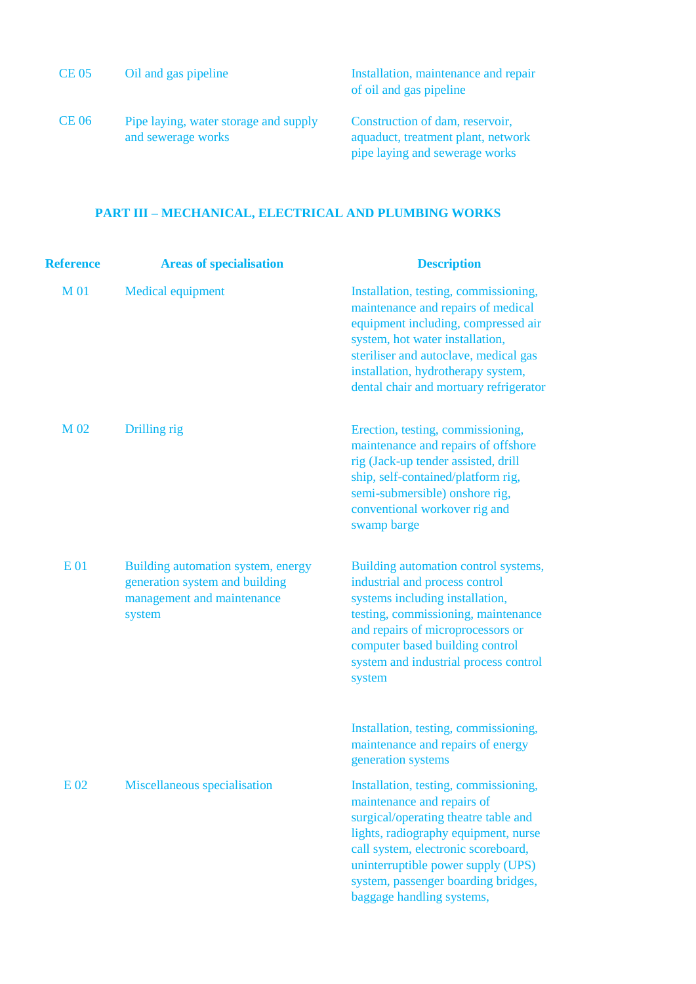| <b>CE 05</b> | Oil and gas pipeline                                        | Installation, maintenance and repair<br>of oil and gas pipeline                                         |
|--------------|-------------------------------------------------------------|---------------------------------------------------------------------------------------------------------|
| <b>CE 06</b> | Pipe laying, water storage and supply<br>and sewerage works | Construction of dam, reservoir,<br>aquaduct, treatment plant, network<br>pipe laying and sewerage works |

# **PART III – MECHANICAL, ELECTRICAL AND PLUMBING WORKS**

| <b>Reference</b> | <b>Areas of specialisation</b>                                                                               | <b>Description</b>                                                                                                                                                                                                                                                                                   |
|------------------|--------------------------------------------------------------------------------------------------------------|------------------------------------------------------------------------------------------------------------------------------------------------------------------------------------------------------------------------------------------------------------------------------------------------------|
| <b>M01</b>       | <b>Medical equipment</b>                                                                                     | Installation, testing, commissioning,<br>maintenance and repairs of medical<br>equipment including, compressed air<br>system, hot water installation,<br>steriliser and autoclave, medical gas<br>installation, hydrotherapy system,<br>dental chair and mortuary refrigerator                       |
| M 02             | Drilling rig                                                                                                 | Erection, testing, commissioning,<br>maintenance and repairs of offshore<br>rig (Jack-up tender assisted, drill<br>ship, self-contained/platform rig,<br>semi-submersible) onshore rig,<br>conventional workover rig and<br>swamp barge                                                              |
| <b>E01</b>       | Building automation system, energy<br>generation system and building<br>management and maintenance<br>system | Building automation control systems,<br>industrial and process control<br>systems including installation,<br>testing, commissioning, maintenance<br>and repairs of microprocessors or<br>computer based building control<br>system and industrial process control<br>system                          |
|                  |                                                                                                              | Installation, testing, commissioning,<br>maintenance and repairs of energy<br>generation systems                                                                                                                                                                                                     |
| E 02             | Miscellaneous specialisation                                                                                 | Installation, testing, commissioning,<br>maintenance and repairs of<br>surgical/operating theatre table and<br>lights, radiography equipment, nurse<br>call system, electronic scoreboard,<br>uninterruptible power supply (UPS)<br>system, passenger boarding bridges,<br>baggage handling systems, |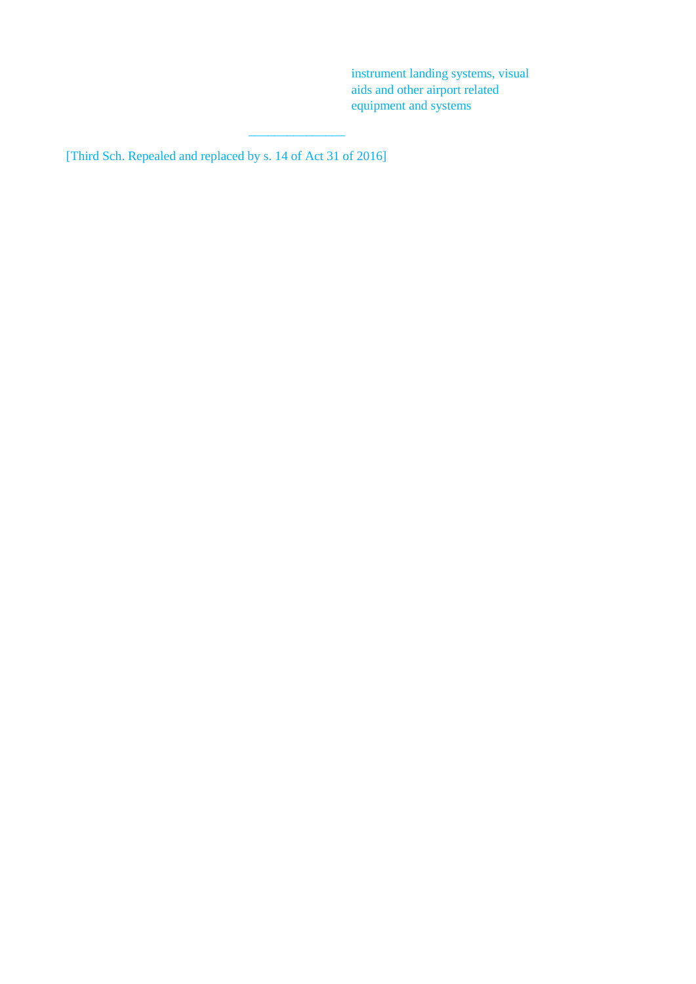instrument landing systems, visual aids and other airport related equipment and systems

[Third Sch. Repealed and replaced by s. 14 of Act 31 of 2016]

 $\frac{1}{2}$  ,  $\frac{1}{2}$  ,  $\frac{1}{2}$  ,  $\frac{1}{2}$  ,  $\frac{1}{2}$  ,  $\frac{1}{2}$  ,  $\frac{1}{2}$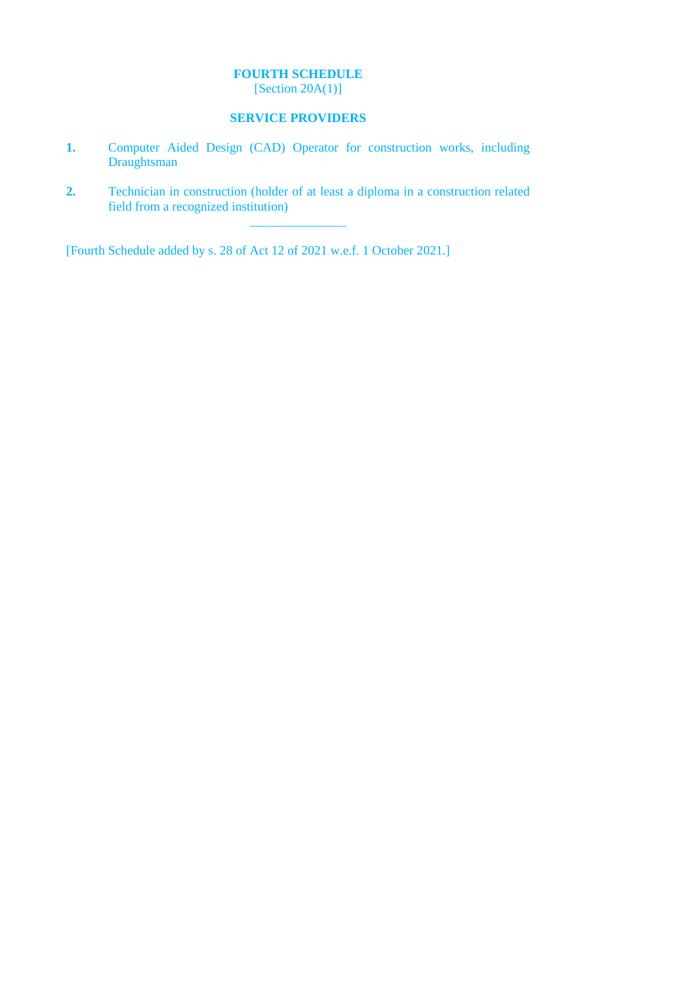# **FOURTH SCHEDULE**

[Section 20A(1)]

# **SERVICE PROVIDERS**

- **1.** Computer Aided Design (CAD) Operator for construction works, including Draughtsman
- **2.** Technician in construction (holder of at least a diploma in a construction related field from a recognized institution) \_\_\_\_\_\_\_\_\_\_\_\_\_\_\_

[Fourth Schedule added by s. 28 of Act 12 of 2021 w.e.f. 1 October 2021.]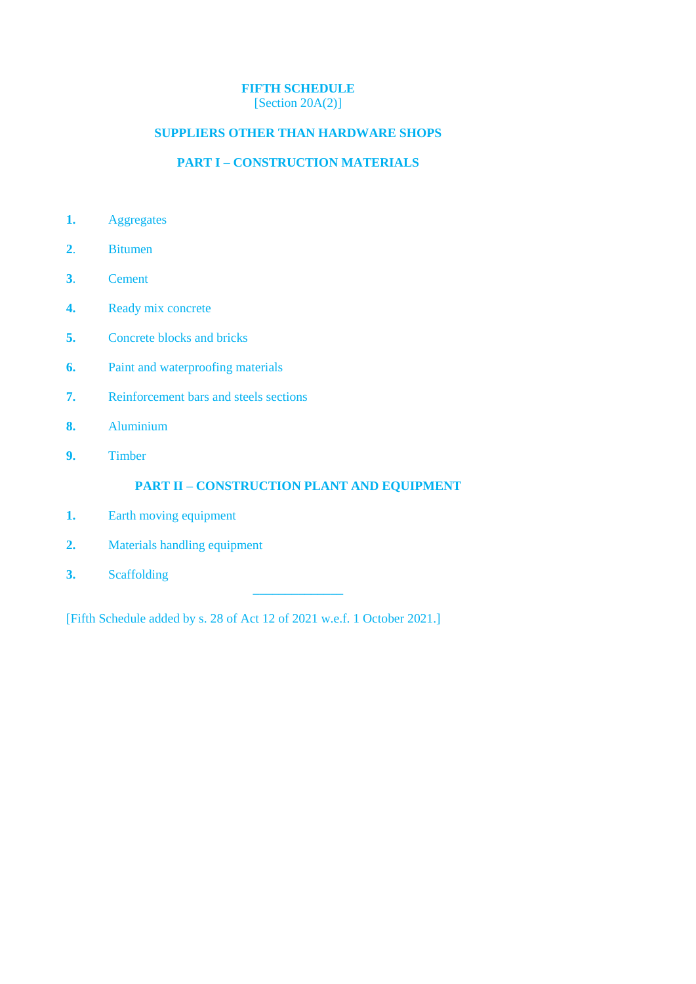# **FIFTH SCHEDULE**

[Section 20A(2)]

# **SUPPLIERS OTHER THAN HARDWARE SHOPS**

# **PART I – CONSTRUCTION MATERIALS**

- **1.** Aggregates
- **2**. Bitumen
- **3**. Cement
- **4.** Ready mix concrete
- **5.** Concrete blocks and bricks
- **6.** Paint and waterproofing materials
- **7.** Reinforcement bars and steels sections
- **8.** Aluminium
- **9.** Timber

# **PART II – CONSTRUCTION PLANT AND EQUIPMENT**

**\_\_\_\_\_\_\_\_\_\_\_\_\_\_**

- **1.** Earth moving equipment
- **2.** Materials handling equipment
- **3.** Scaffolding

[Fifth Schedule added by s. 28 of Act 12 of 2021 w.e.f. 1 October 2021.]